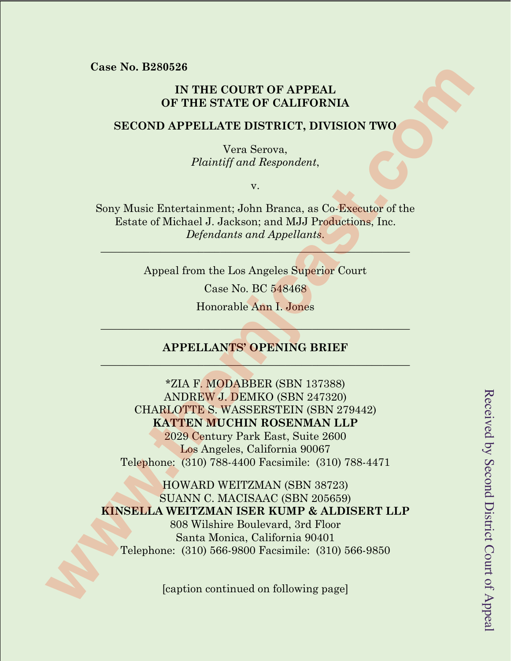**Case No. B280526**

## **IN THE COURT OF APPEAL OF THE STATE OF CALIFORNIA**

#### **SECOND APPELLATE DISTRICT, DIVISION TWO**

Vera Serova, *Plaintiff and Respondent*,

v.

Sony Music Entertainment; John Branca, as Co-Executor of the Estate of Michael J. Jackson; and MJJ Productions, Inc. *Defendants and Appellants*.

 $\mathcal{L}$  , we can also the contribution of  $\mathcal{L}$ 

Appeal from the Los Angeles Superior Court

Case No. BC 548468 Honorable Ann I. Jones

#### **APPELLANTS' OPENING BRIEF**  $\mathcal{L}=\{1,2,3,4\}$

 $\mathcal{L}=\{1,2,3,4,5\}$ 

\*ZIA F. MODABBER (SBN 137388) ANDREW J. DEMKO (SBN 247320) CHARLOTTE S. WASSERSTEIN (SBN 279442) **KATTEN MUCHIN ROSENMAN LLP** 2029 Century Park East, Suite 2600 Los Angeles, California 90067 Telephone: (310) 788-4400 Facsimile: (310) 788-4471

HOWARD WEITZMAN (SBN 38723) SUANN C. MACISAAC (SBN 205659) **KINSELLA WEITZMAN ISER KUMP & ALDISERT LLP** 808 Wilshire Boulevard, 3rd Floor Santa Monica, California 90401 Telephone: (310) 566-9800 Facsimile: (310) 566-9850 **EXECUTE OF CALIFORATE STATE CORPORATE SECOND APPELLATE DISTRICT, DIVISION TWO<br>
West Second Appellant Respondent.**<br>
West Second Advisory, and Respondent.<br>
West Second Mapp Control and Napp Control of the Estate of Michael

[caption continued on following page]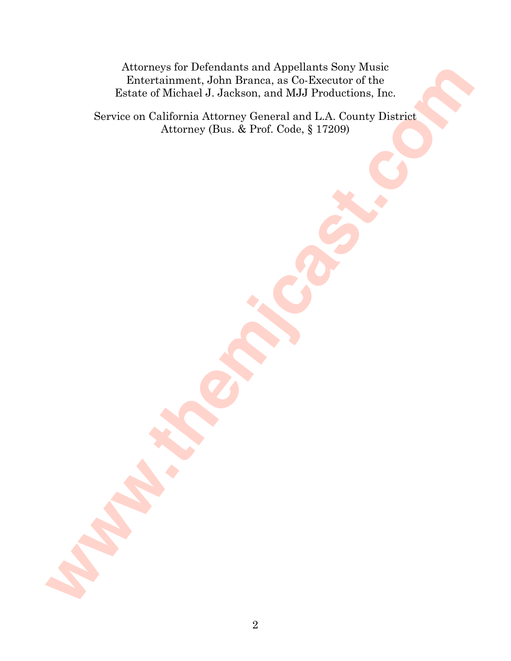Attorneys for Defendants and Appellants Sony Music Entertainment, John Branca, as Co-Executor of the Estate of Michael J. Jackson, and MJJ Productions, Inc. Attorney Idre Mendians and Appellants Service on Collibration of the<br>Estate of Michael J. Jackson, and MJJ Productions, Inc.<br>Service on California Attorney Guas. & Prof. Code, § 17209)<br>Attorney (Bus. & Prof. Code, § 17209)

Service on California Attorney General and L.A. County District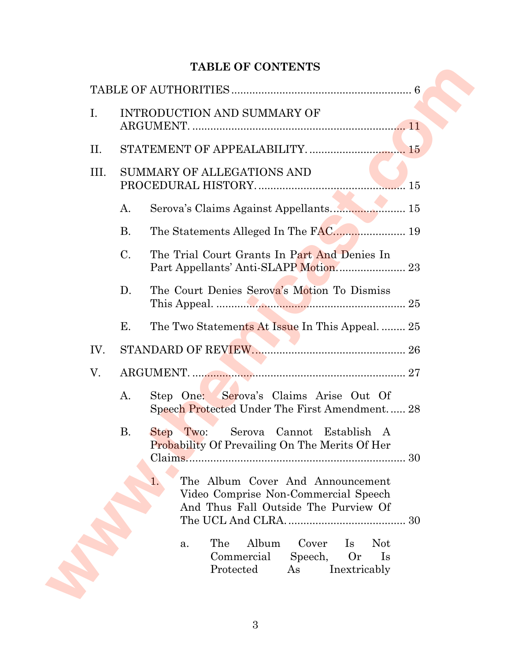## **TABLE OF CONTENTS**

|      | TABLE OF CONTENTS                                                                                                                     |
|------|---------------------------------------------------------------------------------------------------------------------------------------|
|      |                                                                                                                                       |
| I.   | <b>INTRODUCTION AND SUMMARY OF</b>                                                                                                    |
| II.  |                                                                                                                                       |
| III. | <b>SUMMARY OF ALLEGATIONS AND</b>                                                                                                     |
|      | Serova's Claims Against Appellants 15<br>A.                                                                                           |
|      | The Statements Alleged In The FAC 19<br><b>B.</b>                                                                                     |
|      | C.<br>The Trial Court Grants In Part And Denies In<br>Part Appellants' Anti-SLAPP Motion 23                                           |
|      | D.<br>The Court Denies Serova's Motion To Dismiss                                                                                     |
|      | Ε.<br>The Two Statements At Issue In This Appeal.  25                                                                                 |
| IV.  |                                                                                                                                       |
| V.   |                                                                                                                                       |
|      | Step One: Serova's Claims Arise Out Of<br>A.<br>Speech Protected Under The First Amendment 28                                         |
|      | Β.<br>Step Two:<br>Serova Cannot Establish A<br>Probability Of Prevailing On The Merits Of Her                                        |
|      | The Album Cover And Announcement<br>Video Comprise Non-Commercial Speech<br>And Thus Fall Outside The Purview Of                      |
|      | Album<br>The<br>Cover<br>$\mathbf{I}\mathbf{s}$<br><b>Not</b><br>a.<br>Commercial Speech, Or<br>Is<br>Protected<br>Inextricably<br>As |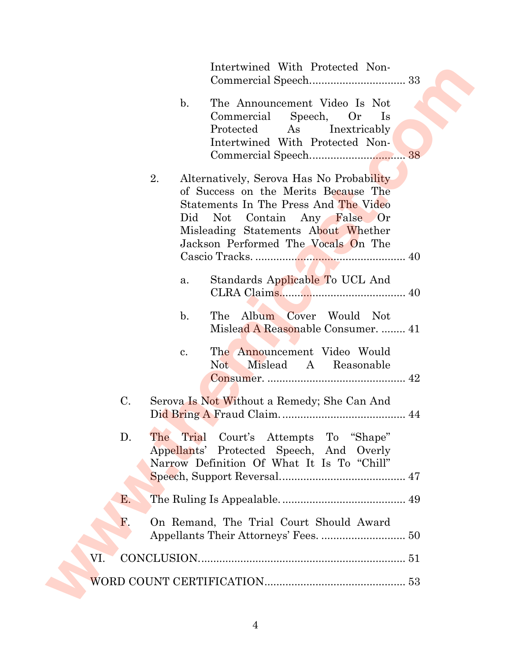|     |                | Intertwined With Protected Non-                                                                                                                                                                                                         |  |
|-----|----------------|-----------------------------------------------------------------------------------------------------------------------------------------------------------------------------------------------------------------------------------------|--|
|     | $\mathbf{b}$ . | The Announcement Video Is Not<br>Commercial Speech, Or<br><b>Is</b><br>Protected<br>Inextricably<br>As<br>Intertwined With Protected Non-                                                                                               |  |
|     | 2.             | Alternatively, Serova Has No Probability<br>of Success on the Merits Because The<br>Statements In The Press And The Video<br>Did Not Contain Any False Or<br>Misleading Statements About Whether<br>Jackson Performed The Vocals On The |  |
|     | a.             | Standards Applicable To UCL And                                                                                                                                                                                                         |  |
|     | $\mathbf{b}$ . | Album Cover Would Not<br>The<br>Mislead A Reasonable Consumer.  41                                                                                                                                                                      |  |
|     | c.             | The Announcement Video Would<br>Mislead A Reasonable<br>Not by                                                                                                                                                                          |  |
| C.  |                | Serova Is Not Without a Remedy; She Can And                                                                                                                                                                                             |  |
| D.  |                | The Trial Court's Attempts To "Shape"<br>Appellants' Protected Speech, And Overly<br>Narrow Definition Of What It Is To "Chill"                                                                                                         |  |
| E.  |                |                                                                                                                                                                                                                                         |  |
| F.  |                | On Remand, The Trial Court Should Award                                                                                                                                                                                                 |  |
| VI. |                |                                                                                                                                                                                                                                         |  |
|     |                |                                                                                                                                                                                                                                         |  |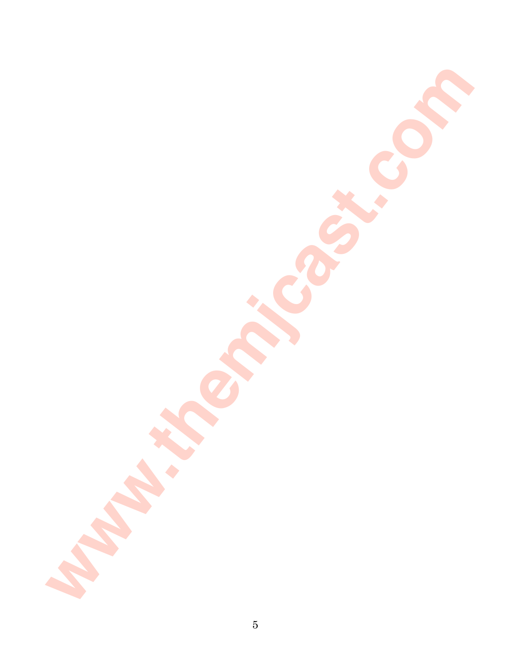**Www.themicast.com**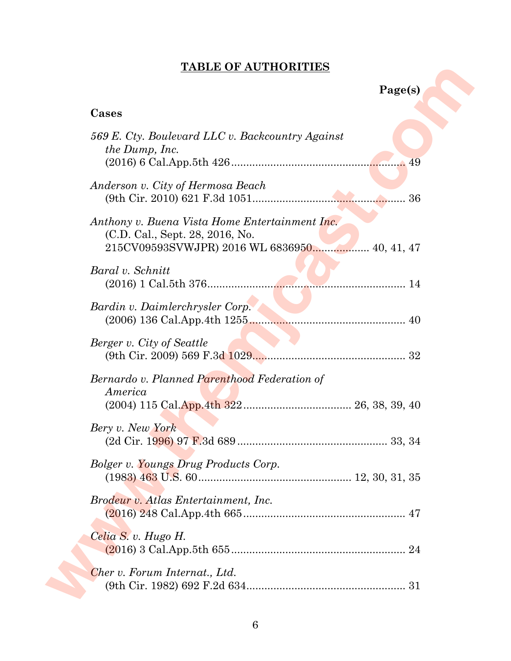## **TABLE OF AUTHORITIES**

<span id="page-5-0"></span>

|                                                                                   | Page(s)                                      |
|-----------------------------------------------------------------------------------|----------------------------------------------|
| Cases                                                                             |                                              |
| 569 E. Cty. Boulevard LLC v. Backcountry Against<br>the Dump, Inc.                | 49                                           |
| Anderson v. City of Hermosa Beach                                                 | 36                                           |
| Anthony v. Buena Vista Home Entertainment Inc.<br>(C.D. Cal., Sept. 28, 2016, No. | 215CV09593SVWJPR) 2016 WL 6836950 40, 41, 47 |
| Baral v. Schnitt                                                                  |                                              |
| Bardin v. Daimlerchrysler Corp.                                                   |                                              |
| Berger v. City of Seattle                                                         |                                              |
| Bernardo v. Planned Parenthood Federation of<br>America                           |                                              |
| Bery v. New York                                                                  |                                              |
| Bolger v. Youngs Drug Products Corp.                                              |                                              |
| Brodeur v. Atlas Entertainment, Inc.                                              |                                              |
| Celia S. v. Hugo H.                                                               |                                              |
| Cher v. Forum Internat., Ltd.                                                     |                                              |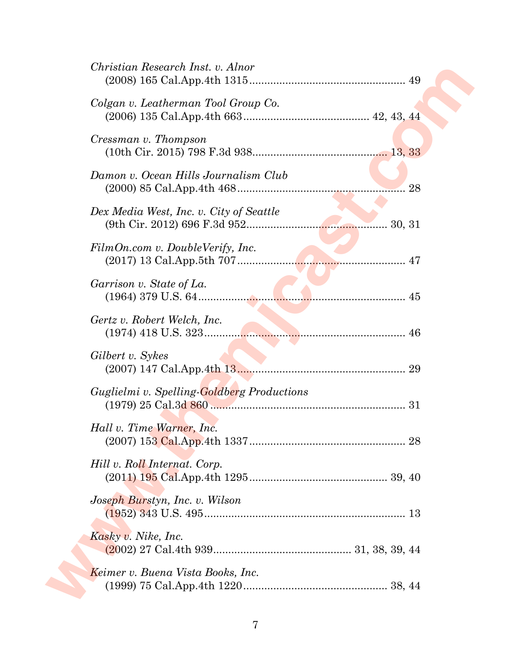| Christian Research Inst. v. Alnor          |    |
|--------------------------------------------|----|
| Colgan v. Leatherman Tool Group Co.        |    |
| Cressman v. Thompson                       |    |
| Damon v. Ocean Hills Journalism Club       | 28 |
| Dex Media West, Inc. v. City of Seattle    |    |
| FilmOn.com v. DoubleVerify, Inc.           |    |
| Garrison v. State of La.                   |    |
| Gertz v. Robert Welch, Inc.                |    |
| Gilbert v. Sykes                           |    |
| Guglielmi v. Spelling-Goldberg Productions |    |
| Hall v. Time Warner, Inc.                  |    |
| Hill v. Roll Internat. Corp.               |    |
| Joseph Burstyn, Inc. v. Wilson             |    |
| Kasky v. Nike, Inc.                        |    |
| Keimer v. Buena Vista Books, Inc.          |    |
|                                            |    |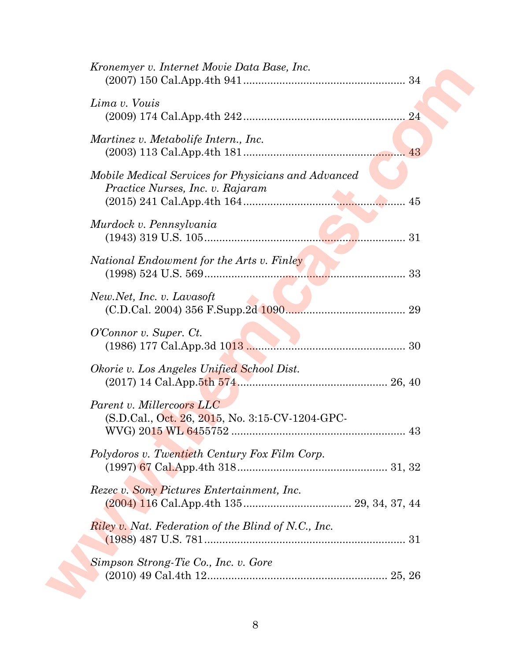| Lima v. Vouis                                                                           |    |
|-----------------------------------------------------------------------------------------|----|
| Martinez v. Metabolife Intern., Inc.                                                    |    |
| Mobile Medical Services for Physicians and Advanced<br>Practice Nurses, Inc. v. Rajaram |    |
| Murdock v. Pennsylvania                                                                 | 31 |
| National Endowment for the Arts v. Finley                                               |    |
| New.Net, Inc. v. Lavasoft                                                               |    |
| O'Connor v. Super. Ct.                                                                  |    |
| Okorie v. Los Angeles Unified School Dist.                                              |    |
| Parent v. Millercoors LLC<br>(S.D.Cal., Oct. 26, 2015, No. 3:15-CV-1204-GPC-            |    |
| Polydoros v. Twentieth Century Fox Film Corp.                                           |    |
| Rezec v. Sony Pictures Entertainment, Inc.                                              |    |
| <b>Riley v.</b> Nat. Federation of the Blind of N.C., Inc.                              |    |
| Simpson Strong-Tie Co., Inc. v. Gore                                                    |    |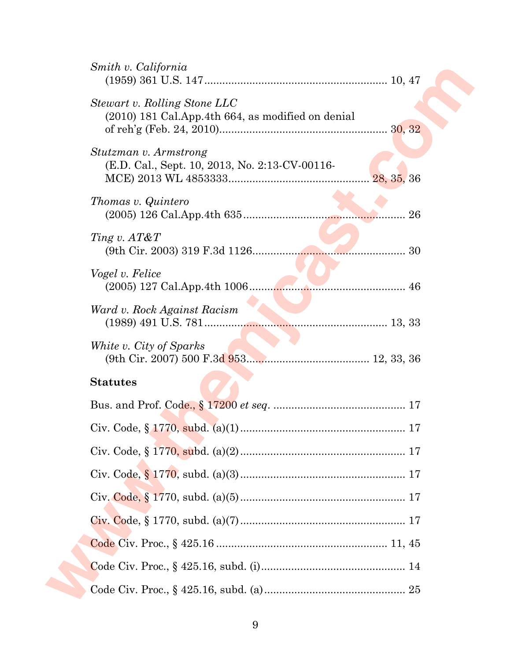| Smith v. California                                                               |    |
|-----------------------------------------------------------------------------------|----|
| Stewart v. Rolling Stone LLC<br>(2010) 181 Cal.App.4th 664, as modified on denial |    |
| Stutzman v. Armstrong<br>(E.D. Cal., Sept. 10, 2013, No. 2:13-CV-00116-           |    |
| Thomas v. Quintero                                                                | 26 |
| $Ting\ v.\ AT\&T$                                                                 |    |
| Vogel v. Felice                                                                   |    |
| Ward v. Rock Against Racism                                                       |    |
| White v. City of Sparks                                                           |    |
| <b>Statutes</b>                                                                   |    |
|                                                                                   |    |
|                                                                                   |    |
|                                                                                   |    |
|                                                                                   |    |
|                                                                                   |    |
|                                                                                   |    |
|                                                                                   |    |
|                                                                                   |    |
|                                                                                   |    |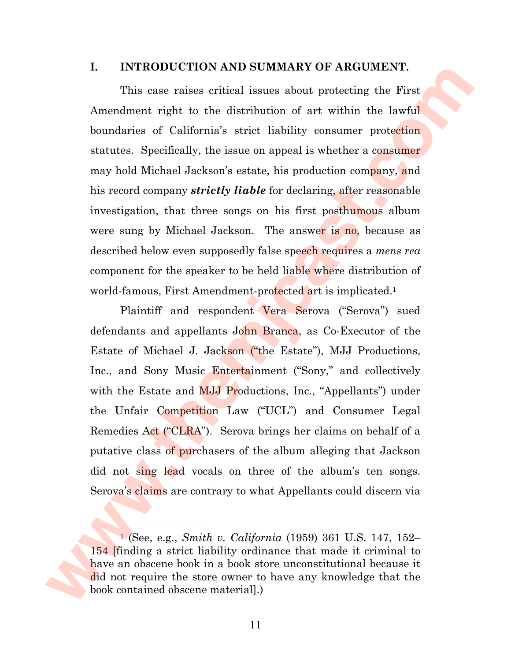#### **I. INTRODUCTION AND SUMMARY OF ARGUMENT.**

<span id="page-10-0"></span>This case raises critical issues about protecting the First Amendment right to the distribution of art within the lawful boundaries of California's strict liability consumer protection statutes. Specifically, the issue on appeal is whether a consumer may hold Michael Jackson's estate, his production company, and his record company *strictly liable* for declaring, after reasonable investigation, that three songs on his first posthumous album were sung by Michael Jackson. The answer is no, because as described below even supposedly false speech requires a *mens rea* component for the speaker to be held liable where distribution of world-famous, First Amendment-protected art is implicated.<sup>1</sup> I. ENTRODUCTION AND SOMMARY OF ARCUMENT.<br>
This case raises critical issues about proceding the First<br>
Amendment right to the distribution of art within the law<br>Information statutes. Specifically, the issue on appeal is whe

Plaintiff and respondent Vera Serova ("Serova") sued defendants and appellants John Branca, as Co-Executor of the Estate of Michael J. Jackson ("the Estate"), MJJ Productions, Inc., and Sony Music Entertainment ("Sony," and collectively with the Estate and MJJ Productions, Inc., "Appellants" under the Unfair Competition Law ("UCL") and Consumer Legal Remedies Act ("CLRA"). Serova brings her claims on behalf of a putative class of purchasers of the album alleging that Jackson did not sing lead vocals on three of the album's ten songs. Serova's claims are contrary to what Appellants could discern via

 <sup>1 (</sup>See, e.g., *Smith v. California* (1959) 361 U.S. 147, 152– 154 [finding a strict liability ordinance that made it criminal to have an obscene book in a book store unconstitutional because it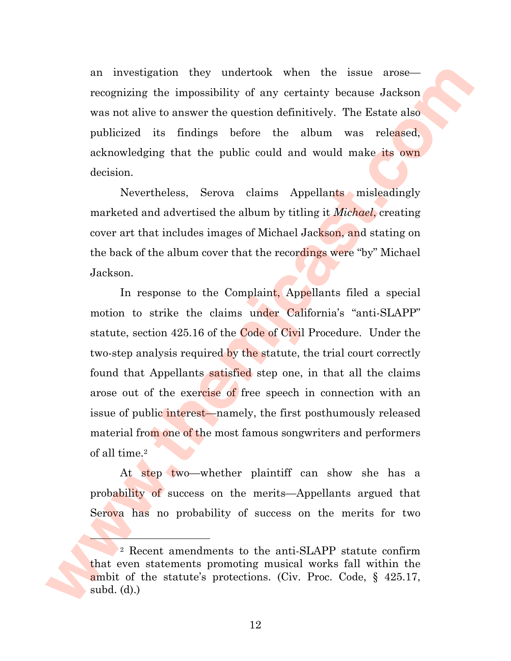an investigation they undertook when the issue arose recognizing the impossibility of any certainty because Jackson was not alive to answer the question definitively. The Estate also publicized its findings before the album was released, acknowledging that the public could and would make its own decision.

Nevertheless, Serova claims Appellants misleadingly marketed and advertised the album by titling it *Michael*, creating cover art that includes images of Michael Jackson, and stating on the back of the album cover that the recordings were "by" Michael Jackson.

In response to the Complaint, Appellants filed a special motion to strike the claims under California's "anti-SLAPP" statute, section 425.16 of the Code of Civil Procedure. Under the two-step analysis required by the statute, the trial court correctly found that Appellants satisfied step one, in that all the claims arose out of the exercise of free speech in connection with an issue of public interest—namely, the first posthumously released material from one of the most famous songwriters and performers of all time.2 am investigation they undertook when the issue are<br>separation comparing the impossibility of any excitantly because Jackson<br>was not alive to answer the question definitively. The Batate state<br>acknowledging that the public

At step two—whether plaintiff can show she has a probability of success on the merits—Appellants argued that Serova has no probability of success on the merits for two

12

 <sup>2</sup> Recent amendments to the anti-SLAPP statute confirm that even statements promoting musical works fall within the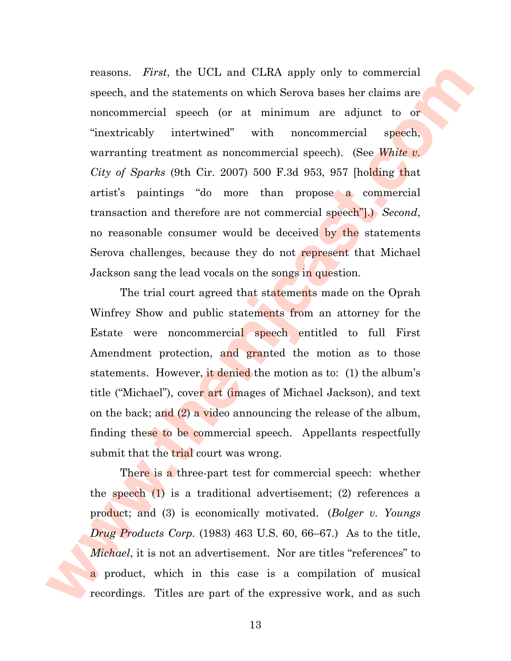reasons. *First*, the UCL and CLRA apply only to commercial speech, and the statements on which Serova bases her claims are noncommercial speech (or at minimum are adjunct to or "inextricably intertwined" with noncommercial speech, warranting treatment as noncommercial speech). (See *White v*. *City of Sparks* (9th Cir. 2007) 500 F.3d 953, 957 [holding that artist's paintings "do more than propose a commercial transaction and therefore are not commercial speech"].) *Second*, no reasonable consumer would be deceived by the statements Serova challenges, because they do not represent that Michael Jackson sang the lead vocals on the songs in question. reasons. *First*, the UCL and CLRA apply only to commercial speech, and the statements on which Serve has her claims are minimum of "inextricubily intertwine" with noncommercial speech, warranting treatment as noncommercia

The trial court agreed that statements made on the Oprah Winfrey Show and public statements from an attorney for the Estate were noncommercial speech entitled to full First Amendment protection, and granted the motion as to those statements. However, it denied the motion as to: (1) the album's title ("Michael"), cover art (images of Michael Jackson), and text on the back; and  $(2)$  a video announcing the release of the album, finding these to be commercial speech. Appellants respectfully submit that the trial court was wrong.

There is a three-part test for commercial speech: whether the speech  $(1)$  is a traditional advertisement;  $(2)$  references a product; and (3) is economically motivated. (*Bolger v. Youngs Drug Products Corp.* (1983) 463 U.S. 60, 66–67.) As to the title, *Michael*, it is not an advertisement. Nor are titles "references" to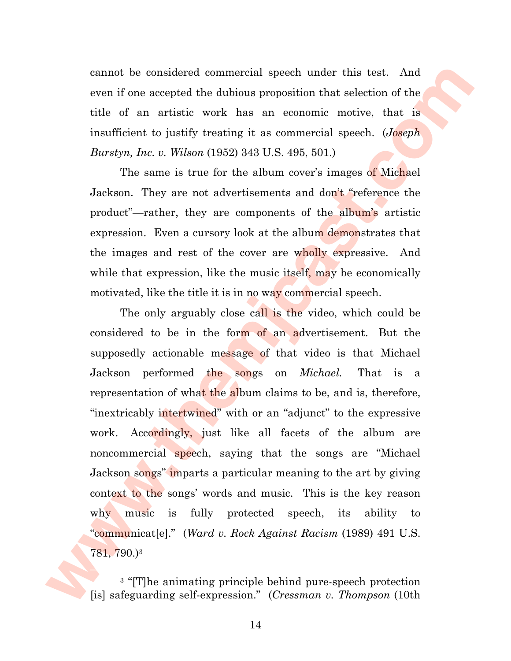cannot be considered commercial speech under this test. And even if one accepted the dubious proposition that selection of the title of an artistic work has an economic motive, that is insufficient to justify treating it as commercial speech. (*Joseph Burstyn, Inc. v. Wilson* (1952) 343 U.S. 495, 501.)

The same is true for the album cover's images of Michael Jackson. They are not advertisements and don't "reference the product"—rather, they are components of the album's artistic expression. Even a cursory look at the album demonstrates that the images and rest of the cover are wholly expressive. And while that expression, like the music itself, may be economically motivated, like the title it is in no way commercial speech.

The only arguably close call is the video, which could be considered to be in the form of an advertisement. But the supposedly actionable message of that video is that Michael Jackson performed the songs on *Michael.* That is a representation of what the album claims to be, and is, therefore, "inextricably intertwined" with or an "adjunct" to the expressive work. Accordingly, just like all facets of the album are noncommercial speech, saying that the songs are "Michael" Jackson songs" imparts a particular meaning to the art by giving context to the songs' words and music. This is the key reason why music is fully protected speech, its ability to "communicat[e]." (*Ward v. Rock Against Racism* (1989) 491 U.S. 781, 790.)3 cannot be considered commercial speech under this tests. And<br>even if one accepted the dubius groposition that sistematificient to justify treating it as commencial speech. (*Joseph*<br>Burston, Inc. c. Wilson (1952) 343 U.S.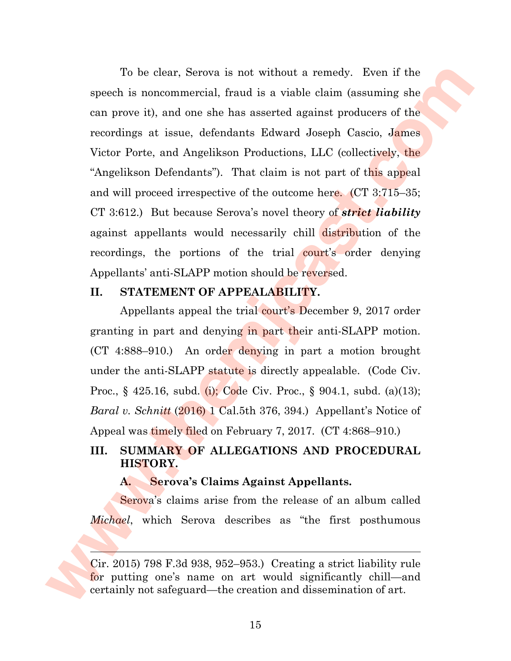<span id="page-14-0"></span>To be clear, Serova is not without a remedy. Even if the speech is noncommercial, fraud is a viable claim (assuming she can prove it), and one she has asserted against producers of the recordings at issue, defendants Edward Joseph Cascio, James Victor Porte, and Angelikson Productions, LLC (collectively, the "Angelikson Defendants"). That claim is not part of this appeal and will proceed irrespective of the outcome here. (CT 3:715–35; CT 3:612.) But because Serova's novel theory of *strict liability* against appellants would necessarily chill distribution of the recordings, the portions of the trial court's order denying Appellants' anti-SLAPP motion should be reversed. To be clear. Serova is not without a remedy. Even if the spear are more one incommented. Frankline as violet calin (assuming she vesetting at issue, defendants bidward Joseph Cascio, James Victor Porte, and Angelikson Prod

#### **II. STATEMENT OF APPEALABILITY.**

Appellants appeal the trial court's December 9, 2017 order granting in part and denying in part their anti-SLAPP motion. (CT 4:888–910.) An order denying in part a motion brought under the anti-SLAPP statute is directly appealable. (Code Civ. Proc., § 425.16, subd. (i); Code Civ. Proc., § 904.1, subd. (a)(13); *Baral v. Schnitt* (2016) 1 Cal.5th 376, 394.) Appellant's Notice of Appeal was timely filed on February 7, 2017. (CT 4:868–910.)

## **III. SUMMARY OF ALLEGATIONS AND PROCEDURAL HISTORY.**

#### **A. Serova's Claims Against Appellants.**

 $\overline{a}$ 

Serova's claims arise from the release of an album called *Michael*, which Serova describes as "the first posthumous

Cir. 2015) 798 F.3d 938, 952–953.) Creating a strict liability rule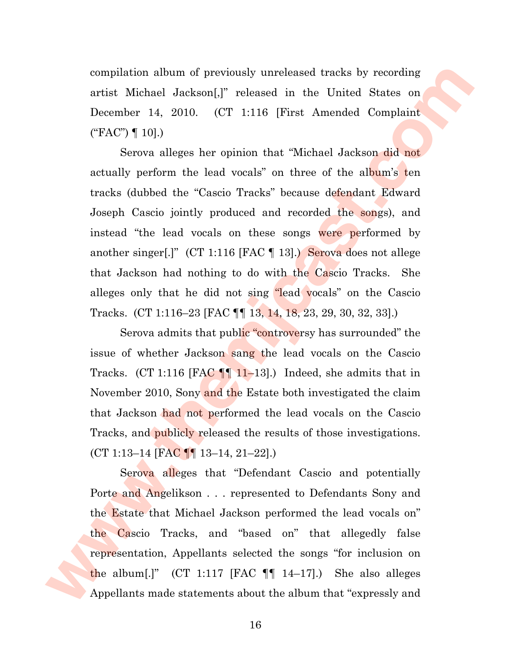compilation album of previously unreleased tracks by recording artist Michael Jackson[,]" released in the United States on December 14, 2010. (CT 1:116 [First Amended Complaint ("FAC") ¶ 10].)

Serova alleges her opinion that "Michael Jackson did not actually perform the lead vocals" on three of the album's ten tracks (dubbed the "Cascio Tracks" because defendant Edward Joseph Cascio jointly produced and recorded the songs), and instead "the lead vocals on these songs were performed by another singer[.]" (CT 1:116 [FAC ¶ 13].) Serova does not allege that Jackson had nothing to do with the Cascio Tracks. She alleges only that he did not sing "lead vocals" on the Cascio Tracks. (CT 1:116–23 [FAC ¶¶ 13, 14, 18, 23, 29, 30, 32, 33].) compilation album of previously unreleased tracks by recording<br>
include Jacksson (1" cT 1:116 [Frist Amended Complaint<br>
(FAC") [10].) Servor alleges her opinion that "Michael Jackson did not<br>
cottally perform the lead voca

Serova admits that publ<mark>ic "controve</mark>rsy has surrounded" the issue of whether Jackson sang the lead vocals on the Cascio Tracks.  $(CT 1:116$  [FAC  $\P\P$  11–13].) Indeed, she admits that in November 2010, Sony and the Estate both investigated the claim that Jackson had not performed the lead vocals on the Cascio Tracks, and **publicly** released the results of those investigations. (CT 1:13–14 [FAC ¶¶ 13–14, 21–22].)

Serova alleges that "Defendant Cascio and potentially Porte and Angelikson . . . represented to Defendants Sony and the Estate that Michael Jackson performed the lead vocals on" the Cascio Tracks, and "based on" that allegedly false representation, Appellants selected the songs "for inclusion on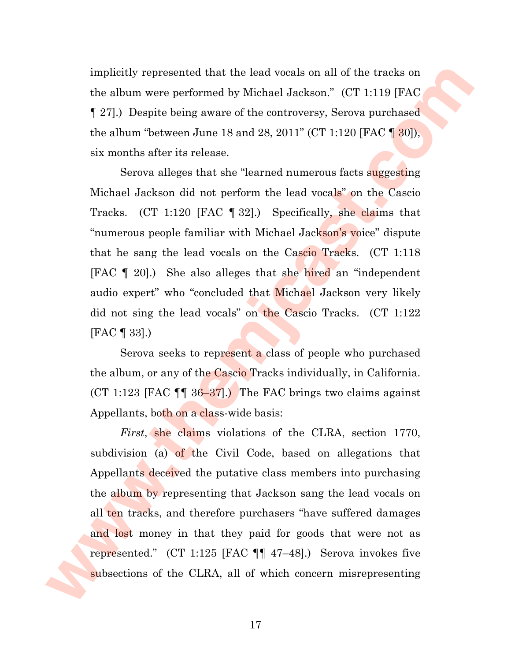implicitly represented that the lead vocals on all of the tracks on the album were performed by Michael Jackson." (CT 1:119 [FAC ¶ 27].) Despite being aware of the controversy, Serova purchased the album "between June 18 and 28, 2011" (CT 1:120 [FAC  $\llbracket 30 \rrbracket$ ), six months after its release.

Serova alleges that she "learned numerous facts suggesting Michael Jackson did not perform the lead vocals" on the Cascio Tracks. (CT 1:120 [FAC ¶ 32].) Specifically, she claims that "numerous people familiar with Michael Jackson's voice" dispute that he sang the lead vocals on the Cascio Tracks. (CT 1:118 [FAC ¶ 20].) She also alleges that she hired an "independent audio expert" who "concluded that Michael Jackson very likely did not sing the lead vocals" on the Cascio Tracks. (CT 1:122) [FAC ¶ 33].) implicitly represented that the lead vocals on all of the tracks on<br>the album were performed by Michal Jackson." (CT 1:119 [FAC 1]<br>271) Despite being aware of the controversy, Serova purchased<br>the album "between June 18 a

Serova seeks to represent a class of people who purchased the album, or any of the Cascio Tracks individually, in California. (CT 1:123 [FAC  $\P$ ] 36–37].) The FAC brings two claims against Appellants, both on a class-wide basis:

*First*, she claims violations of the CLRA, section 1770, subdivision (a) of the Civil Code, based on allegations that Appellants deceived the putative class members into purchasing the album by representing that Jackson sang the lead vocals on all ten tracks, and therefore purchasers "have suffered damages and lost money in that they paid for goods that were not as represented." (CT 1:125 [FAC ¶¶ 47–48].) Serova invokes five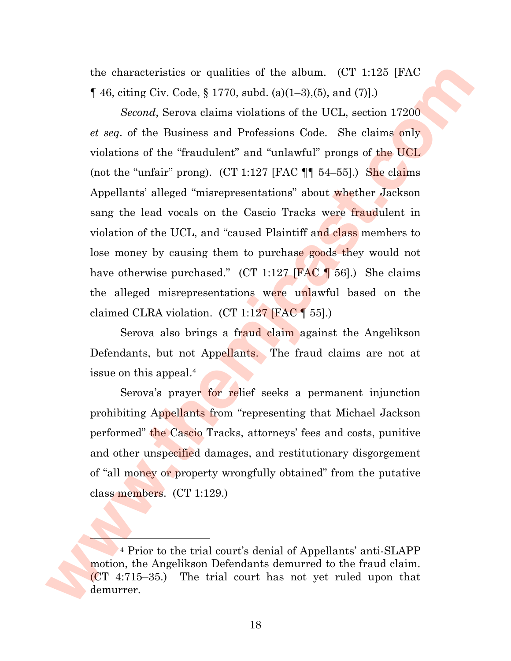the characteristics or qualities of the album. (CT 1:125 [FAC  $\P$  46, citing Civ. Code, § 1770, subd. (a)(1–3),(5), and (7).)

*Second*, Serova claims violations of the UCL, section 17200 *et seq*. of the Business and Professions Code. She claims only violations of the "fraudulent" and "unlawful" prongs of the UCL (not the "unfair" prong). (CT 1:127 [FAC  $\P\P$  54–55].) She claims Appellants' alleged "misrepresentations" about whether Jackson sang the lead vocals on the Cascio Tracks were fraudulent in violation of the UCL, and "caused Plaintiff and class members to lose money by causing them to purchase goods they would not have otherwise purchased."  $(CT 1:127$  [FAC 1 56].) She claims the alleged misrepresentations were unlawful based on the claimed CLRA violation.  $(CT 1:127$  [FAC  $\llbracket 55 \rrbracket$ .) the characteristics or qualities of the abum. (CT 1:125 [FAC<br>
14.6, editing Civ, Coloc, §1770, sabd (a)(1.3), and (7)), and (7)).<br> *et seq.* of the Business and Professions Orde. She elsima only<br>
violations of the "randule

Serova also brings a fraud claim against the Angelikson Defendants, but not Appellants. The fraud claims are not at issue on this appeal.4

Serova's prayer for relief seeks a permanent injunction prohibiting Appellants from "representing that Michael Jackson performed" the Cascio Tracks, attorneys' fees and costs, punitive and other unspecified damages, and restitutionary disgorgement of "all money or property wrongfully obtained" from the putative class members. (CT 1:129.)

 <sup>4</sup> Prior to the trial court's denial of Appellants' anti-SLAPP motion, the Angelikson Defendants demurred to the fraud claim.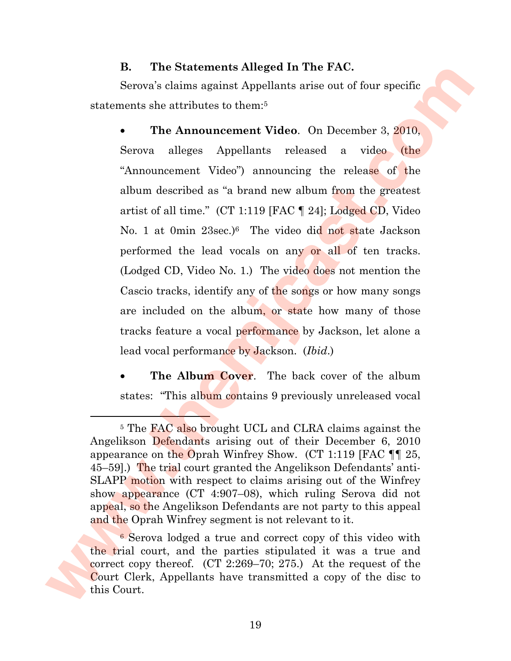#### **B. The Statements Alleged In The FAC.**

Serova's claims against Appellants arise out of four specific statements she attributes to them:5

<span id="page-18-0"></span>• **The Announcement Video**. On December 3, 2010, Serova alleges Appellants released a video (the "Announcement Video") announcing the release of the album described as "a brand new album from the greatest artist of all time." (CT 1:119 [FAC ¶ 24]; Lodged CD, Video No. 1 at 0min 23sec.)<sup>6</sup> The video did not state Jackson performed the lead vocals on any or all of ten tracks. (Lodged CD, Video No. 1.) The video does not mention the Cascio tracks, identify any of the songs or how many songs are included on the album, or state how many of those tracks feature a vocal performance by Jackson, let alone a lead vocal performance by Jackson. (*Ibid*.) **EXECUTE INTERENT COURTS AND THE COURTS AND SERVIE THE PACK SUMMON COURTS (SERVIET AND COUPLAT APPLIED AND COUPLAT AND COUPLAT AND COUPLAT AND COUPLAT AND COUPLAT AND COUPLAT AND COUPLAT AND COUPLAT AND COUPLAT AND COUPLA** 

**The Album Cover.** The back cover of the album states: "This album contains 9 previously unreleased vocal

<sup>&</sup>lt;sup>5</sup> The FAC also brought UCL and CLRA claims against the Angelikson Defendants arising out of their December 6, 2010 appearance on the Oprah Winfrey Show. (CT 1:119 [FAC  $\P$ ] 25, 45–59].) The trial court granted the Angelikson Defendants' anti-SLAPP motion with respect to claims arising out of the Winfrey show appearance (CT 4:907–08), which ruling Serova did not appeal, so the Angelikson Defendants are not party to this appeal and the Oprah Winfrey segment is not relevant to it.

<sup>6</sup> Serova lodged a true and correct copy of this video with the trial court, and the parties stipulated it was a true and correct copy thereof. (CT 2:269–70; 275.) At the request of the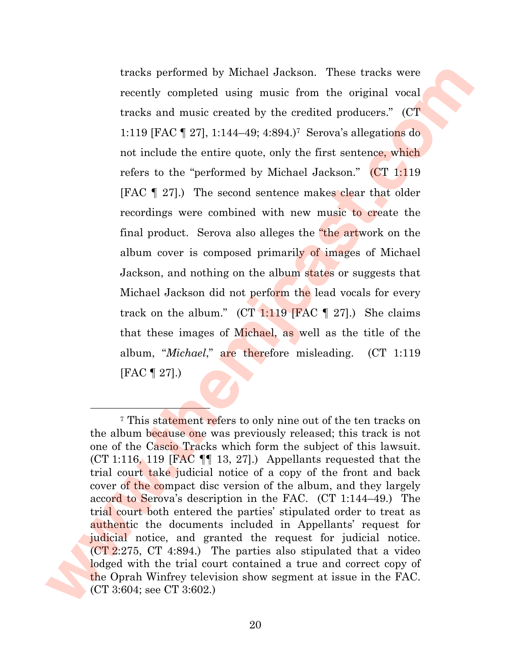tracks performed by Michael Jackson. These tracks were recently completed using music from the original vocal tracks and music created by the credited producers." (CT 1:119 [FAC ¶ 27], 1:144–49; 4:894.)7 Serova's allegations do not include the entire quote, only the first sentence, which refers to the "performed by Michael Jackson." (CT 1:119) [FAC ¶ 27].) The second sentence makes clear that older recordings were combined with new music to create the final product. Serova also alleges the "the artwork on the album cover is composed primarily of images of Michael Jackson, and nothing on the album states or suggests that Michael Jackson did not perform the lead vocals for every track on the album."  $(CT 1:119$  [FAC  $\parallel$  27].) She claims that these images of Michael, as well as the title of the album, "*Michael*," are therefore misleading. (CT 1:119 [FAC ¶ 27].) tracks performed by Michael Jackson. Those tracks were<br>
reachly condited using music from the original vocal<br>
tracks and music created by the reachind producers." (CT<br>
1:119 [FAC 127], 1:144-69, 4:804.)" Sevora's allegati

<sup>&</sup>lt;sup>7</sup> This statement refers to only nine out of the ten tracks on the album because one was previously released; this track is not one of the Cascio Tracks which form the subject of this lawsuit. (CT 1:116, 119 [FAC  $\P$ ] 13, 27].) Appellants requested that the trial court take judicial notice of a copy of the front and back cover of the compact disc version of the album, and they largely accord to Serova's description in the FAC. (CT 1:144–49.) The trial court both entered the parties' stipulated order to treat as authentic the documents included in Appellants' request for judicial notice, and granted the request for judicial notice. (CT 2:275, CT 4:894.) The parties also stipulated that a video lodged with the trial court contained a true and correct copy of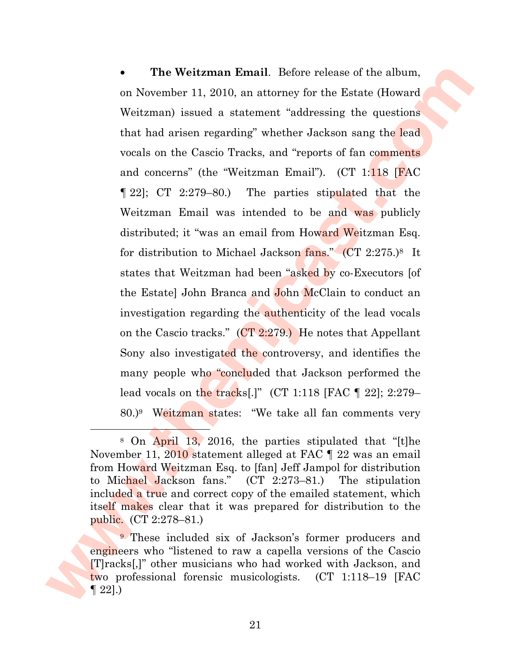• **The Weitzman Email**. Before release of the album, on November 11, 2010, an attorney for the Estate (Howard Weitzman) issued a statement "addressing the questions that had arisen regarding" whether Jackson sang the lead vocals on the Cascio Tracks, and "reports of fan comments and concerns" (the "Weitzman Email"). (CT 1:118 **FAC** ¶ 22]; CT 2:279–80.) The parties stipulated that the Weitzman Email was intended to be and was publicly distributed; it "was an email from Howard Weitzman Esq. for distribution to Michael Jackson fans." (CT 2:275.)8 It states that Weitzman had been "asked by co-Executors [of the Estate] John Branca and John McClain to conduct an investigation regarding the authenticity of the lead vocals on the Cascio tracks."  $(CT 2:279.)$  He notes that Appellant Sony also investigated the controversy, and identifies the many people who "concluded that Jackson performed the lead vocals on the tracks[.]" (CT 1:118 [FAC | 22]; 2:279– 80.)9 Weitzman states: "We take all fan comments very The Weitzman Email. Before release of the album.<br>
on Nowmber 11, 2010, an atoment "addressing the questions<br>
whiteman) issued a statement "addressing the questions<br>
that had arises regarding" whether Jackson sang the lead<br>

 <sup>8</sup> On April 13, 2016, the parties stipulated that "[t]he November 11, 2010 statement alleged at FAC  $\parallel$  22 was an email from Howard Weitzman Esq. to [fan] Jeff Jampol for distribution to Michael Jackson fans." (CT 2:273–81.) The stipulation included a true and correct copy of the emailed statement, which itself makes clear that it was prepared for distribution to the public. (CT 2:278–81.)

<sup>&</sup>lt;sup>9</sup> These included six of Jackson's former producers and engineers who "listened to raw a capella versions of the Cascio [T]racks[,]" other musicians who had worked with Jackson, and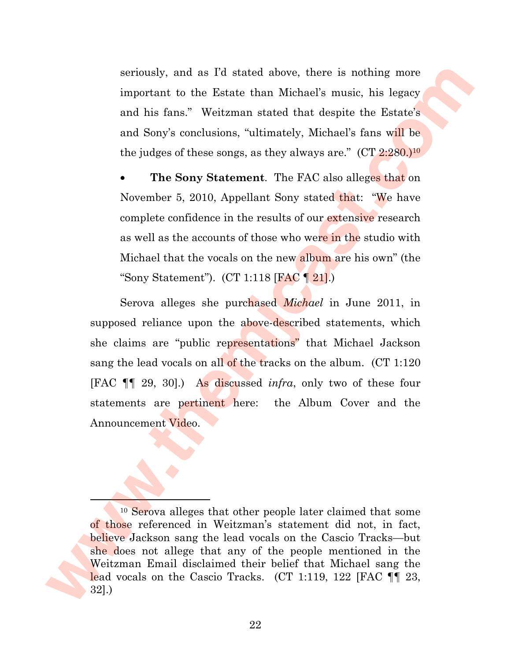seriously, and as I'd stated above, there is nothing more important to the Estate than Michael's music, his legacy and his fans." Weitzman stated that despite the Estate's and Sony's conclusions, "ultimately, Michael's fans will be the judges of these songs, as they always are."  $(CT 2:280.)^{10}$ 

**The Sony Statement.** The FAC also alleges that on November 5, 2010, Appellant Sony stated that: "We have complete confidence in the results of our extensive research as well as the accounts of those who were in the studio with Michael that the vocals on the new album are his own" (the "Sony Statement").  $(CT 1:118 [FAC \, T21]$ .

Serova alleges she purchased *Michael* in June 2011, in supposed reliance upon the above-described statements, which she claims are "public representations" that Michael Jackson sang the lead vocals on all of the tracks on the album. (CT 1:120) [FAC ¶¶ 29, 30].) As discussed *infra*, only two of these four statements are pertinent here: the Album Cover and the Announcement Video. seriously, and as Fd stated above, there is nothing more important to the Estate than Michael's music, his logacy<br>and bis fara." Weitzman stated that despite the Estate's<br>and Sony's conclusions, "ultimately, Michael's far

<sup>&</sup>lt;sup>10</sup> Serova alleges that other people later claimed that some of those referenced in Weitzman's statement did not, in fact, believe Jackson sang the lead vocals on the Cascio Tracks—but she does not allege that any of the people mentioned in the Weitzman Email disclaimed their belief that Michael sang the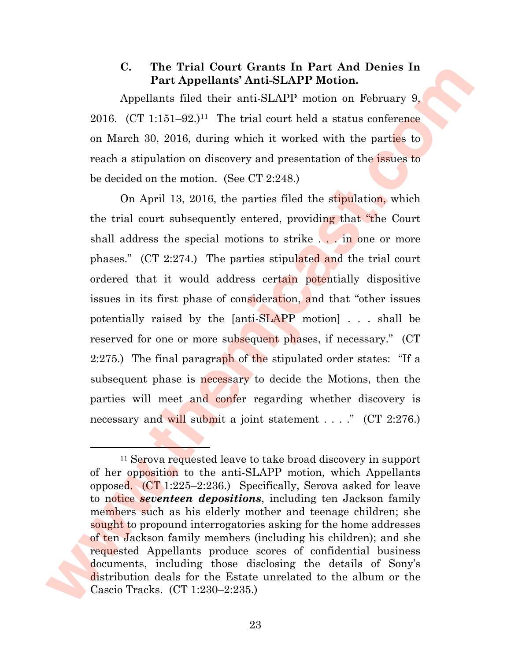## **C. The Trial Court Grants In Part And Denies In Part Appellants' Anti-SLAPP Motion.**

Appellants filed their anti-SLAPP motion on February 9, 2016. (CT 1:151–92.)<sup>11</sup> The trial court held a status conference on March 30, 2016, during which it worked with the parties to reach a stipulation on discovery and presentation of the issues to be decided on the motion. (See CT 2:248.)

<span id="page-22-0"></span>On April 13, 2016, the parties filed the stipulation, which the trial court subsequently entered, providing that "the Court shall address the special motions to strike . . . in one or more phases." (CT 2:274.) The parties stipulated and the trial court ordered that it would address certain potentially dispositive issues in its first phase of consideration, and that "other issues" potentially raised by the [anti-SLAPP motion] . . . shall be reserved for one or more subsequent phases, if necessary." (CT 2:275.) The final paragraph of the stipulated order states: "If a subsequent phase is necessary to decide the Motions, then the parties will meet and confer regarding whether discovery is necessary and will submit a joint statement . . . ." (CT 2:276.) C. The Trail Court Grants for Arist And Denies in<br>Appellants' Anti-SLAPP motion on February 9,<br>2016. (CT 1:15-192)<sup>11</sup> The trial court held a status configures<br>on March 30, 2016, during which it worked with the parties to<br>

<sup>&</sup>lt;sup>11</sup> Serova requested leave to take broad discovery in support of her opposition to the anti-SLAPP motion, which Appellants opposed. (CT 1:225–2:236.) Specifically, Serova asked for leave to notice *seventeen depositions*, including ten Jackson family members such as his elderly mother and teenage children; she sought to propound interrogatories asking for the home addresses of ten Jackson family members (including his children); and she requested Appellants produce scores of confidential business documents, including those disclosing the details of Sony's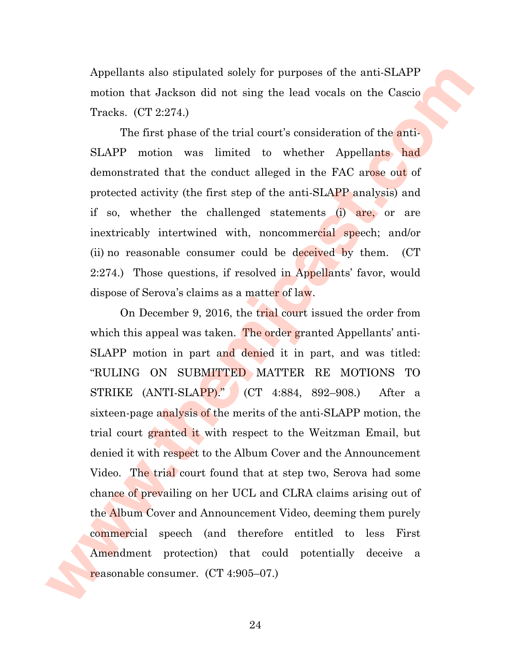Appellants also stipulated solely for purposes of the anti-SLAPP motion that Jackson did not sing the lead vocals on the Cascio Tracks. (CT 2:274.)

The first phase of the trial court's consideration of the anti-SLAPP motion was limited to whether Appellants had demonstrated that the conduct alleged in the FAC arose out of protected activity (the first step of the anti-SLAPP analysis) and if so, whether the challenged statements (i) are, or are inextricably intertwined with, noncommercial speech; and/or (ii) no reasonable consumer could be deceived by them. (CT 2:274.) Those questions, if resolved in Appellants' favor, would dispose of Serova's claims as a matter of law.

On December 9, 2016, the trial court issued the order from which this appeal was taken. The order granted Appellants' anti-SLAPP motion in part and denied it in part, and was titled: "RULING ON SUBMITTED MATTER RE MOTIONS TO STRIKE (ANTI-SLAPP)." (CT 4:884, 892–908.) After a sixteen-page analysis of the merits of the anti-SLAPP motion, the trial court granted it with respect to the Weitzman Email, but denied it with respect to the Album Cover and the Announcement Video. The trial court found that at step two, Serova had some chance of prevailing on her UCL and CLRA claims arising out of the Album Cover and Announcement Video, deeming them purely commercial speech (and therefore entitled to less First Amendment protection) that could potentially deceive a Appellants also stipulated solely for purposes of the anti-SLAPP<br>motion that Jackson did not sing the load vocals on the Cascio<br>Tracks. (CT 2:274)<br>The first phase of the trial court's consideration of the anti-<br>SLAPP moti

24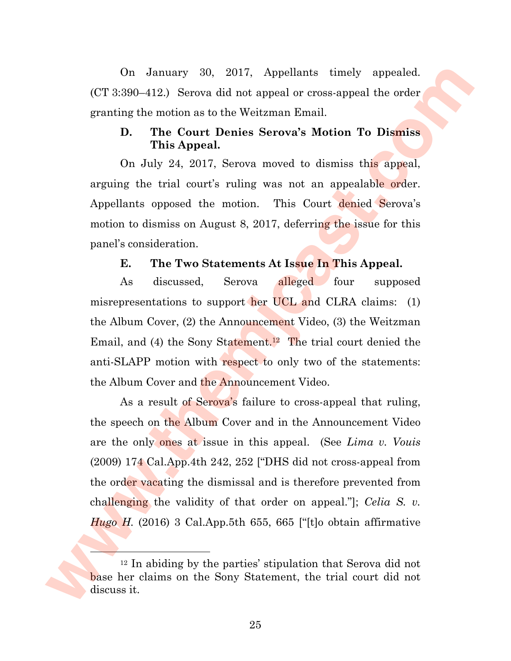On January 30, 2017, Appellants timely appealed. (CT 3:390–412.) Serova did not appeal or cross-appeal the order granting the motion as to the Weitzman Email.

### **D. The Court Denies Serova's Motion To Dismiss This Appeal.**

On July 24, 2017, Serova moved to dismiss this appeal, arguing the trial court's ruling was not an appealable order. Appellants opposed the motion. This Court denied Serova's motion to dismiss on August 8, 2017, deferring the issue for this panel's consideration.

#### **E. The Two Statements At Issue In This Appeal.**

As discussed, Serova alleged four supposed misrepresentations to support her UCL and CLRA claims: (1) the Album Cover, (2) the Announcement Video, (3) the Weitzman Email, and  $(4)$  the Sony Statement.<sup>12</sup> The trial court denied the anti-SLAPP motion with respect to only two of the statements: the Album Cover and the Announcement Video.

<span id="page-24-0"></span>As a result of Serova's failure to cross-appeal that ruling, the speech on the Album Cover and in the Announcement Video are the only ones at issue in this appeal. (See *Lima v. Vouis* (2009) 174 Cal.App.4th 242, 252 ["DHS did not cross-appeal from the order vacating the dismissal and is therefore prevented from challenging the validity of that order on appeal."]; *Celia S. v. Hugo H.* (2016) 3 Cal.App.5th 655, 665 ["[t]o obtain affirmative On January 30, 2017, Appellants timely appealed<br>
(CT 3:390 -412) Serova did not appeal on cross-appeal the order<br>
gradium for milis Appeal.<br>
D. The Court Denies Serova's Motion To Dismiss<br>
D. The Court Denies Serova's Mot

 <sup>12</sup> In abiding by the parties' stipulation that Serova did not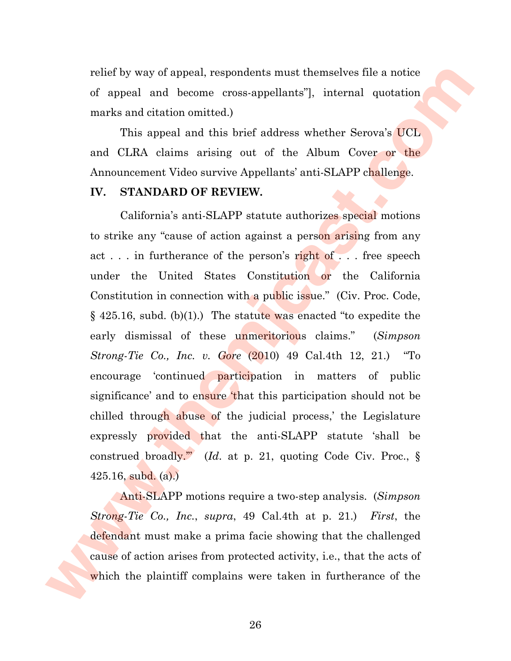relief by way of appeal, respondents must themselves file a notice of appeal and become cross-appellants"], internal quotation marks and citation omitted.)

This appeal and this brief address whether Serova's UCL and CLRA claims arising out of the Album Cover or the Announcement Video survive Appellants' anti-SLAPP challenge.

#### **IV. STANDARD OF REVIEW.**

<span id="page-25-0"></span>California's anti-SLAPP statute authorizes special motions to strike any "cause of action against a person arising from any act . . . in furtherance of the person's right of . . . free speech under the United States Constitution or the California Constitution in connection with a public issue." (Civ. Proc. Code,  $\S$  425.16, subd. (b)(1).) The statute was enacted "to expedite the early dismissal of these unmeritorious claims." (*Simpson Strong-Tie Co., Inc. v. Gore* (2010) 49 Cal.4th 12, 21.) "To encourage 'continued participation in matters of public significance' and to ensure 'that this participation should not be chilled through abuse of the judicial process, the Legislature expressly provided that the anti-SLAPP statute 'shall be construed broadly.'" (*Id*. at p. 21, quoting Code Civ. Proc., §  $425.16$ , subd. (a).) relief by way of appeal, respondents must themselves file a notice<br>of appeal and become cross-appellants"], internal quotation<br>marks and dictains emitted.)<br>This appeal and this brief address whether Servavis UCL<br>and CLRA

Anti-SLAPP motions require a two-step analysis. (*Simpson Strong-Tie Co., Inc.*, *supra*, 49 Cal.4th at p. 21.) *First*, the defendant must make a prima facie showing that the challenged cause of action arises from protected activity, i.e., that the acts of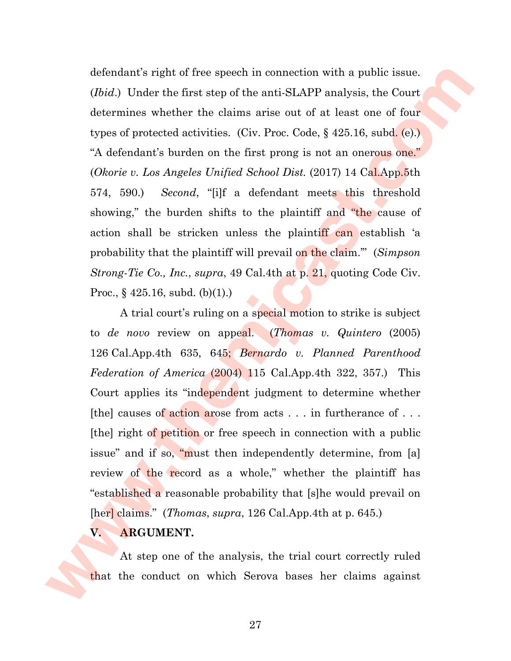<span id="page-26-0"></span>defendant's right of free speech in connection with a public issue. (*Ibid*.) Under the first step of the anti-SLAPP analysis, the Court determines whether the claims arise out of at least one of four types of protected activities. (Civ. Proc. Code, § 425.16, subd. (e).) "A defendant's burden on the first prong is not an onerous one." (*Okorie v. Los Angeles Unified School Dist.* (2017) 14 Cal.App.5th 574, 590.) *Second*, "[i]f a defendant meets this threshold showing," the burden shifts to the plaintiff and "the cause of action shall be stricken unless the plaintiff can establish 'a probability that the plaintiff will prevail on the claim.'" (*Simpson Strong-Tie Co., Inc.*, *supra*, 49 Cal.4th at p. 21, quoting Code Civ. Proc., § 425.16, subd. (b)(1).) defendant's right of free speech in connection with a public issue.<br>
(*bid*) Under the first stop of the anti-SLAP analysis, the Court<br>
determines whether the claims arise out of at least one of four<br>
types of pouteeted a

A trial court's ruling on a special motion to strike is subject to *de novo* review on appeal. (*Thomas v. Quintero* (2005) 126 Cal.App.4th 635, 645; *Bernardo v. Planned Parenthood Federation of America* (2004) 115 Cal.App.4th 322, 357.) This Court applies its "independent judgment to determine whether [the] causes of action arose from acts  $\dots$  in furtherance of  $\dots$ [the] right of petition or free speech in connection with a public issue" and if so, "must then independently determine, from [a] review of the record as a whole," whether the plaintiff has "established a reasonable probability that [s]he would prevail on [her] claims." (*Thomas*, *supra*, 126 Cal.App.4th at p. 645.)

#### **V. ARGUMENT.**

At step one of the analysis, the trial court correctly ruled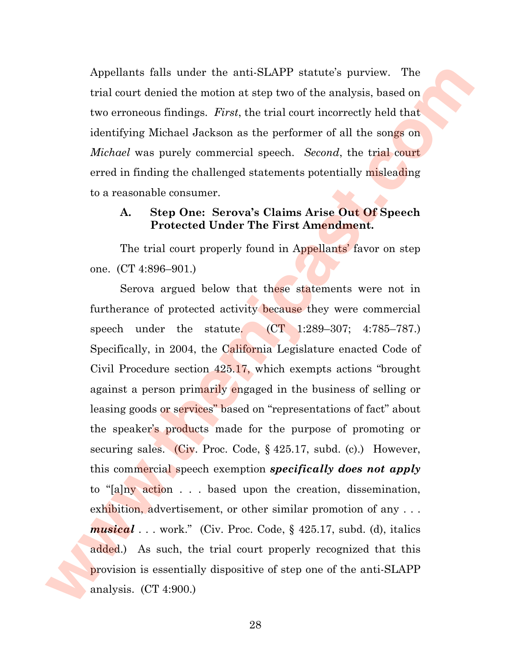Appellants falls under the anti-SLAPP statute's purview. The trial court denied the motion at step two of the analysis, based on two erroneous findings. *First*, the trial court incorrectly held that identifying Michael Jackson as the performer of all the songs on *Michael* was purely commercial speech. *Second*, the trial court erred in finding the challenged statements potentially misleading to a reasonable consumer.

## **A. Step One: Serova's Claims Arise Out Of Speech Protected Under The First Amendment.**

The trial court properly found in Appellants' favor on step one. (CT 4:896–901.)

<span id="page-27-0"></span>Serova argued below that these statements were not in furtherance of protected activity because they were commercial speech under the statute. (CT 1:289–307; 4:785–787.) Specifically, in 2004, the California Legislature enacted Code of Civil Procedure section 425.17, which exempts actions "brought against a person primarily engaged in the business of selling or leasing goods or services" based on "representations of fact" about the speaker's products made for the purpose of promoting or securing sales. (Civ. Proc. Code,  $\S$  425.17, subd. (c).) However, this commercial speech exemption *specifically does not apply* to "[a]ny action . . . based upon the creation, dissemination, exhibition, advertisement, or other similar promotion of any ... *musical* . . . work." (Civ. Proc. Code, § 425.17, subd. (d), italics added.) As such, the trial court properly recognized that this Appellants falls under the anti-SLAPP statute's purviow. The<br>trial court denied the moion at step two of the analysis. based on<br>two erroments indings. First, the trial court incurrectly held that<br>identifying Michael stack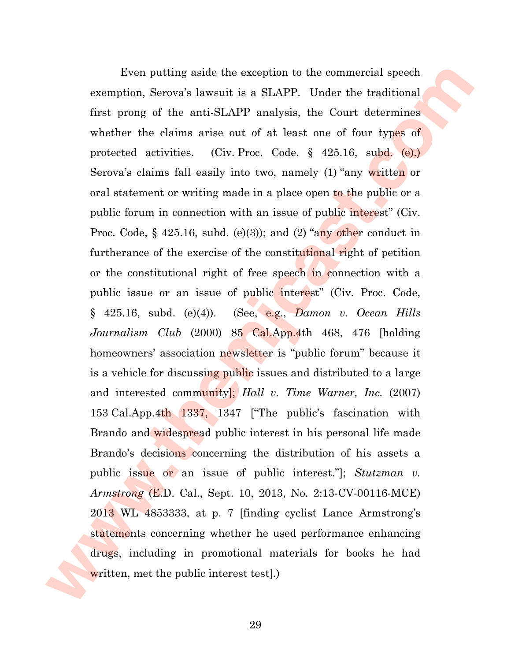Even putting aside the exception to the commercial speech exemption, Serova's lawsuit is a SLAPP. Under the traditional first prong of the anti-SLAPP analysis, the Court determines whether the claims arise out of at least one of four types of protected activities. (Civ. Proc. Code,  $\S$  425.16, subd. (e).) Serova's claims fall easily into two, namely (1) "any written or oral statement or writing made in a place open to the public or a public forum in connection with an issue of public interest" (Civ. Proc. Code, § 425.16, subd. (e)(3)); and (2) "any other conduct in furtherance of the exercise of the constitutional right of petition or the constitutional right of free speech in connection with a public issue or an issue of public interest" (Civ. Proc. Code, § 425.16, subd. (e)(4)). (See, e.g., *Damon v. Ocean Hills Journalism Club* (2000) 85 Cal.App.4th 468, 476 [holding homeowners' association newsletter is "public forum" because it is a vehicle for discussing public issues and distributed to a large and interested community]; *Hall v. Time Warner, Inc.* (2007) 153 Cal.App.4th 1337, 1347 ["The public's fascination with Brando and widespread public interest in his personal life made Brando's decisions concerning the distribution of his assets a public issue or an issue of public interest."]; *Stutzman v. Armstrong* (E.D. Cal., Sept. 10, 2013, No. 2:13-CV-00116-MCE) 2013 WL 4853333, at p. 7 [finding cyclist Lance Armstrong's statements concerning whether he used performance enhancing drugs, including in promotional materials for books he had Even putting aside the exception to the commercial speech<br>exemption, Servar's laveaut is a SLAPP. Under the traditional<br>first prong of the anti-SLAPP analysis, the Court determines<br>whether the their<br>maximise out of at lea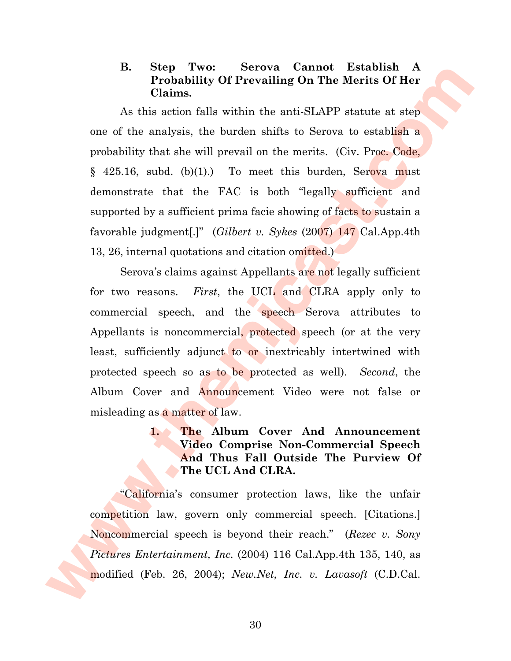## **B. Step Two: Serova Cannot Establish A Probability Of Prevailing On The Merits Of Her Claims.**

As this action falls within the anti-SLAPP statute at step one of the analysis, the burden shifts to Serova to establish a probability that she will prevail on the merits. (Civ. Proc. Code,  $§$  425.16, subd. (b)(1).) To meet this burden, Serova must demonstrate that the FAC is both "legally sufficient and supported by a sufficient prima facie showing of facts to sustain a favorable judgment[.]" (*Gilbert v. Sykes* (2007) 147 Cal.App.4th 13, 26, internal quotations and citation omitted.)

<span id="page-29-0"></span>Serova's claims against Appellants are not legally sufficient for two reasons. *First*, the UCL and CLRA apply only to commercial speech, and the speech Serova attributes to Appellants is noncommercial, protected speech (or at the very least, sufficiently adjunct to or inextricably intertwined with protected speech so as to be protected as well). *Second*, the Album Cover and Announcement Video were not false or misleading as a matter of law. **Example 12. Properties** Charmaching Control Extending Control External in the small series of the small section follows the small of the small series and the small of the small series and the small of the small series

## **1. The Album Cover And Announcement Video Comprise Non-Commercial Speech And Thus Fall Outside The Purview Of The UCL And CLRA.**

"California's consumer protection laws, like the unfair competition law, govern only commercial speech. [Citations.] Noncommercial speech is beyond their reach." (*Rezec v. Sony Pictures Entertainment, Inc.* (2004) 116 Cal.App.4th 135, 140, as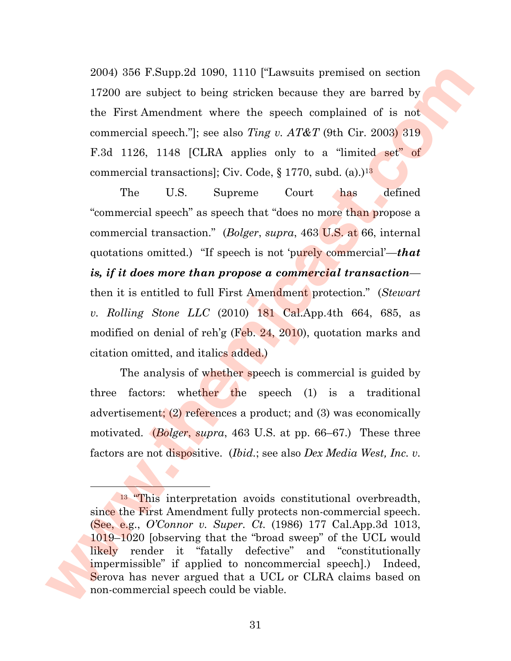2004) 356 F.Supp.2d 1090, 1110 ["Lawsuits premised on section 17200 are subject to being stricken because they are barred by the First Amendment where the speech complained of is not commercial speech."]; see also *Ting v. AT&T* (9th Cir. 2003) 319 F.3d 1126, 1148 [CLRA applies only to a "limited set" of commercial transactions]; Civ. Code, § 1770, subd. (a).)13

The U.S. Supreme Court has defined "commercial speech" as speech that "does no more than propose a commercial transaction." (*Bolger*, *supra*, 463 U.S. at 66, internal quotations omitted.) "If speech is not 'purely commercial'—*that is, if it does more than propose a commercial transaction* then it is entitled to full First Amendment protection." (*Stewart v. Rolling Stone LLC* (2010) 181 Cal.App.4th 664, 685, as modified on denial of reh'g (Feb. 24, 2010), quotation marks and citation omitted, and italics added.) 2004) 356 F Supp 2d 1090, 1110 ["Lawsuits premised on section<br>17200 are subject to being stricken because they are barrel by<br>the first Amendment where the speech complained of is net<br>commercial speech,"); see also Ting v.

The analysis of whether speech is commercial is guided by three factors: whether the speech (1) is a traditional advertisement; (2) references a product; and (3) was economically motivated. (*Bolger*, *supra*, 463 U.S. at pp. 66–67.) These three factors are not dispositive. (*Ibid.*; see also *Dex Media West, Inc. v.* 

<sup>&</sup>lt;sup>13</sup> "This interpretation avoids constitutional overbreadth, since the First Amendment fully protects non-commercial speech. (See, e.g., *O'Connor v. Super. Ct.* (1986) 177 Cal.App.3d 1013, 1019–1020 [observing that the "broad sweep" of the UCL would likely render it "fatally defective" and "constitutionally impermissible" if applied to noncommercial speech].) Indeed,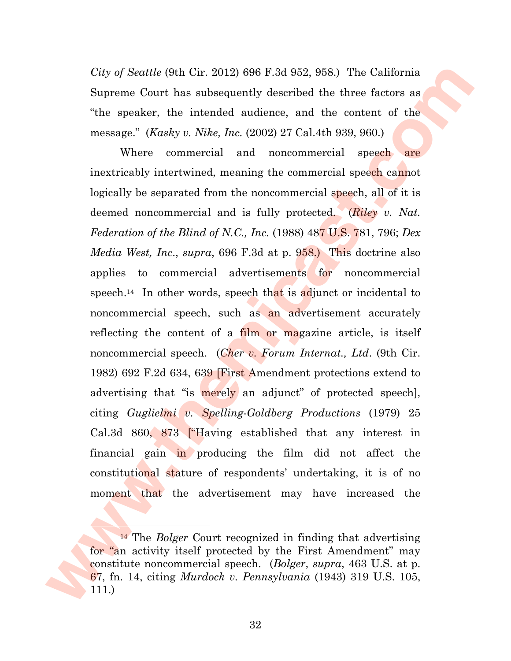*City of Seattle* (9th Cir. 2012) 696 F.3d 952, 958.) The California Supreme Court has subsequently described the three factors as "the speaker, the intended audience, and the content of the message." (*Kasky v. Nike, Inc.* (2002) 27 Cal.4th 939, 960.)

Where commercial and noncommercial speech are inextricably intertwined, meaning the commercial speech cannot logically be separated from the noncommercial speech, all of it is deemed noncommercial and is fully protected. (*Riley v. Nat. Federation of the Blind of N.C., Inc.* (1988) 487 U.S. 781, 796; *Dex Media West, Inc*., *supra*, 696 F.3d at p. 958.) This doctrine also applies to commercial advertisements for noncommercial speech.<sup>14</sup> In other words, speech that is adjunct or incidental to noncommercial speech, such as an advertisement accurately reflecting the content of a film or magazine article, is itself noncommercial speech. (*Cher v. Forum Internat., Ltd*. (9th Cir. 1982) 692 F.2d 634, 639 [First Amendment protections extend to advertising that "is **merely** an adjunct" of protected speech, citing *Guglielmi v. Spelling-Goldberg Productions* (1979) 25 Cal.3d 860, 873 ["Having established that any interest in financial gain in producing the film did not affect the constitutional stature of respondents' undertaking, it is of no moment that the advertisement may have increased the Giv of Seattle (9th Cir. 2012) 696 F.3d 952, 9685). The California Superne Court has subsequently described the three factors as when "the speaker, the intended audience, and the content of the message." (Knoky n. Nike, b

 <sup>14</sup> The *Bolger* Court recognized in finding that advertising for "an activity itself protected by the First Amendment" may constitute noncommercial speech. (*Bolger*, *supra*, 463 U.S. at p.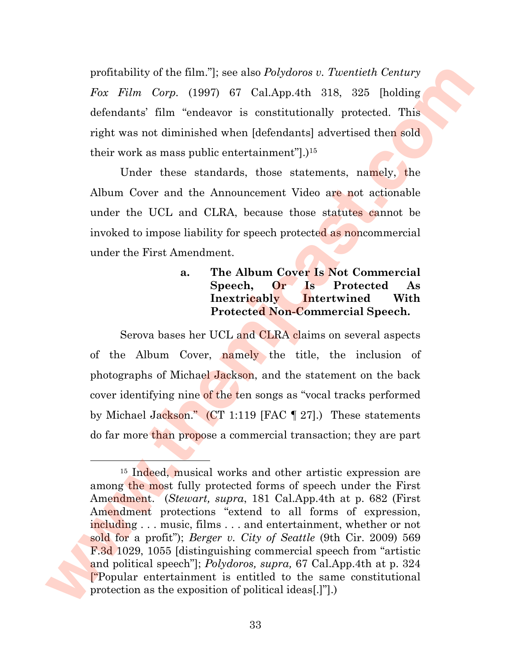profitability of the film."]; see also *Polydoros v. Twentieth Century Fox Film Corp.* (1997) 67 Cal.App.4th 318, 325 [holding defendants' film "endeavor is constitutionally protected. This right was not diminished when [defendants] advertised then sold their work as mass public entertainment"].)15

Under these standards, those statements, namely, the Album Cover and the Announcement Video are not actionable under the UCL and CLRA, because those statutes cannot be invoked to impose liability for speech protected as noncommercial under the First Amendment.

## **a. The Album Cover Is Not Commercial Speech, Or Is Protected As Inextricably Intertwined With Protected Non-Commercial Speech.**

Serova bases her UCL and CLRA claims on several aspects of the Album Cover, namely the title, the inclusion of photographs of Michael Jackson, and the statement on the back cover identifying nine of the ten songs as "vocal tracks performed by Michael Jackson." (CT 1:119 [FAC ¶ 27].) These statements do far more than propose a commercial transaction; they are part

<span id="page-32-0"></span><sup>&</sup>lt;sup>15</sup> Indeed, musical works and other artistic expression are among the most fully protected forms of speech under the First Amendment. (*Stewart, supra*, 181 Cal.App.4th at p. 682 (First Amendment protections "extend to all forms of expression, including . . . music, films . . . and entertainment, whether or not sold for a profit"); *Berger v. City of Seattle* (9th Cir. 2009) 569 F.3d 1029, 1055 [distinguishing commercial speech from "artistic and political speech"]; *Polydoros, supra,* 67 Cal.App.4th at p. 324 profitability of the film."]; see also *Folydoros v. Tuoniteh* Contary<br> *Fox* Film <sup>1</sup> cons. (1997) 67 Cal.App.4th 318, 325 [holding<br>
tefendants' film "andexors is constitutionally protected then sold<br>
their work as mass p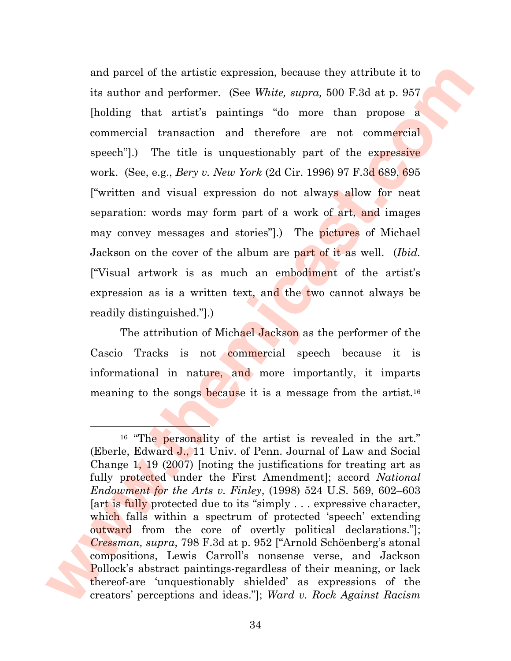and parcel of the artistic expression, because they attribute it to its author and performer. (See *White, supra,* 500 F.3d at p. 957 [holding that artist's paintings "do more than propose a commercial transaction and therefore are not commercial speech".) The title is unquestionably part of the expressive work. (See, e.g., *Bery v. New York* (2d Cir. 1996) 97 F.3d 689, 695 ["written and visual expression do not always allow for neat separation: words may form part of a work of art, and images may convey messages and stories"].)The pictures of Michael Jackson on the cover of the album are part of it as well. (*Ibid.*  ["Visual artwork is as much an embodiment of the artist's expression as is a written text, and the two cannot always be readily distinguished."].) and parcel of the artistic expression, because they attribute it to<br>
its author and performer. (See White, supra 760 or F.3d at p. 957<br>
commercial transaction and therefore are not commercial<br>
speech"].) The title is unqu

The attribution of Michael Jackson as the performer of the Cascio Tracks is not commercial speech because it is informational in nature, and more importantly, it imparts meaning to the songs because it is a message from the artist.<sup>16</sup>

<sup>&</sup>lt;sup>16</sup> "The personality of the artist is revealed in the art." (Eberle, Edward J., 11 Univ. of Penn. Journal of Law and Social Change 1, 19 (2007) [noting the justifications for treating art as fully protected under the First Amendment]; accord *National Endowment for the Arts v. Finley*, (1998) 524 U.S. 569, 602–603 [art is fully protected due to its "simply ... expressive character, which falls within a spectrum of protected 'speech' extending outward from the core of overtly political declarations."]; *Cressman, supra*, 798 F.3d at p. 952 ["Arnold Schöenberg's atonal compositions, Lewis Carroll's nonsense verse, and Jackson Pollock's abstract paintings-regardless of their meaning, or lack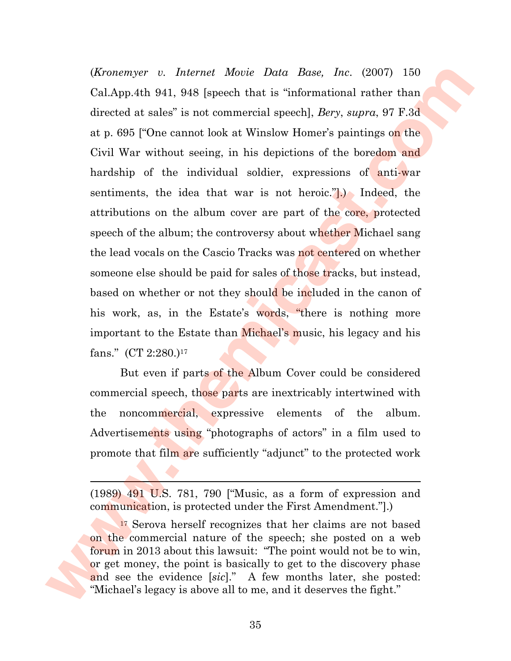(*Kronemyer v. Internet Movie Data Base, Inc*. (2007) 150 Cal.App.4th 941, 948 [speech that is "informational rather than directed at sales" is not commercial speech], *Bery*, *supra*, 97 F.3d at p. 695 ["One cannot look at Winslow Homer's paintings on the Civil War without seeing, in his depictions of the boredom and hardship of the individual soldier, expressions of anti-war sentiments, the idea that war is not heroic."].) Indeed, the attributions on the album cover are part of the core, protected speech of the album; the controversy about whether Michael sang the lead vocals on the Cascio Tracks was not centered on whether someone else should be paid for sales of those tracks, but instead, based on whether or not they should be included in the canon of his work, as, in the Estate's words, "there is nothing more important to the Estate than Michael's music, his legacy and his fans." (CT 2:280.)17 (*Kronamyer v. Internat Mosic Data Base, Inc. (2007)* 150<br>
Cal.App.4th 941. 948 (spocch that is "informational rather than<br>
directed at sales" is not commercial speedil, *Bery*, supre, 97 P.2d<br>
at p. 005 ["One cannot look

But even if parts of the Album Cover could be considered commercial speech, those parts are inextricably intertwined with the noncommercial, expressive elements of the album. Advertisements using "photographs of actors" in a film used to promote that film are sufficiently "adjunct" to the protected work

(1989) 491 U.S. 781, 790 ["Music, as a form of expression and communication, is protected under the First Amendment."].)

<sup>17</sup> Serova herself recognizes that her claims are not based on the commercial nature of the speech; she posted on a web forum in 2013 about this lawsuit: "The point would not be to win, or get money, the point is basically to get to the discovery phase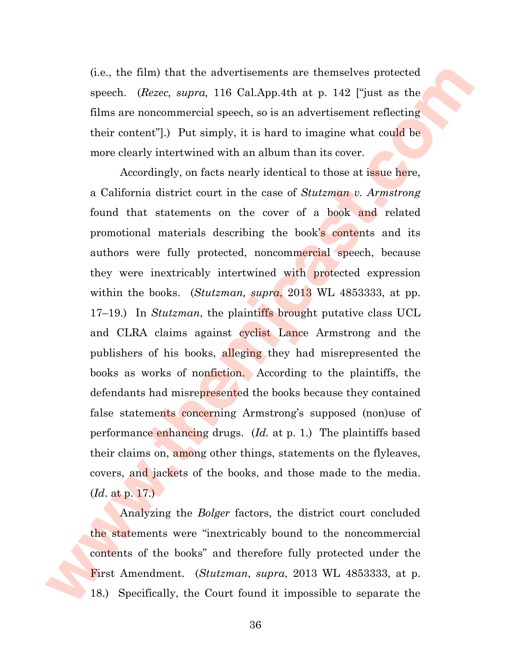(i.e., the film) that the advertisements are themselves protected speech. (*Rezec, supra,* 116 Cal.App.4th at p. 142 ["just as the films are noncommercial speech, so is an advertisement reflecting their content".) Put simply, it is hard to imagine what could be more clearly intertwined with an album than its cover.

Accordingly, on facts nearly identical to those at issue here, a California district court in the case of *Stutzman v. Armstrong* found that statements on the cover of a book and related promotional materials describing the book's contents and its authors were fully protected, noncommercial speech, because they were inextricably intertwined with protected expression within the books. (*Stutzman, supra*, 2013 WL 4853333, at pp. 17–19.) In *Stutzman*, the plaintiffs brought putative class UCL and CLRA claims against cyclist Lance Armstrong and the publishers of his books, alleging they had misrepresented the books as works of nonfiction. According to the plaintiffs, the defendants had misrepresented the books because they contained false statements concerning Armstrong's supposed (non)use of performance enhancing drugs. (*Id.* at p. 1.) The plaintiffs based their claims on, among other things, statements on the flyleaves, covers, and jackets of the books, and those made to the media. (*Id*. at p. 17.) (i.e., the film) that the advertisements are themselves protocted<br>specch. (*Karec, supreq*, 116 Gal.App-4th at p. 142 ["just as the<br>films are noncommercial speech, so is an advertisement reflecting<br>their content"].) Put s

Analyzing the *Bolger* factors, the district court concluded the statements were "inextricably bound to the noncommercial contents of the books" and therefore fully protected under the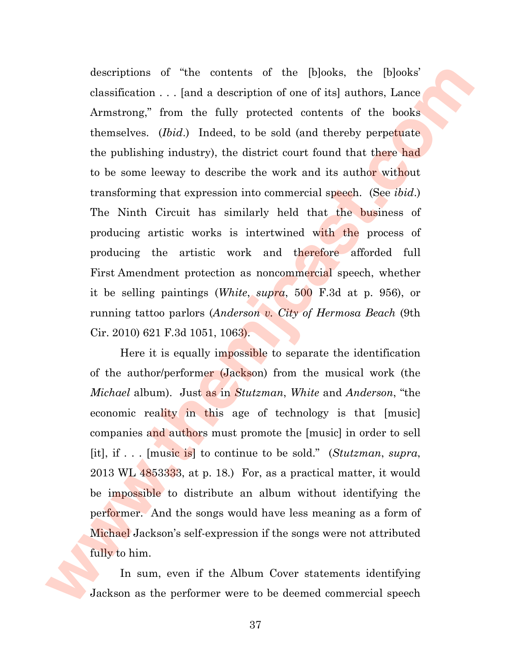descriptions of "the contents of the [b]ooks, the [b]ooks' classification . . . [and a description of one of its] authors, Lance Armstrong," from the fully protected contents of the books themselves. (*Ibid*.) Indeed, to be sold (and thereby perpetuate the publishing industry), the district court found that there had to be some leeway to describe the work and its author without transforming that expression into commercial speech. (See *ibid*.) The Ninth Circuit has similarly held that the business of producing artistic works is intertwined with the process of producing the artistic work and therefore afforded full First Amendment protection as noncommercial speech, whether it be selling paintings (*White*, *supra*, 500 F.3d at p. 956), or running tattoo parlors (*Anderson v. City of Hermosa Beach* (9th Cir. 2010) 621 F.3d 1051, 1063). descriptions of "the concents of the [b]ooks, the [b]ooks'<br>classification ... [and a description of one of its jacubess. Lemerly<br>es. (*bid.*) Indeed, to be sold (and thereby perpetrate<br>the publishing industry), the distric

Here it is equally impossible to separate the identification of the author/performer (Jackson) from the musical work (the *Michael* album). Just as in *Stutzman*, *White* and *Anderson*, "the economic reality in this age of technology is that [music] companies and authors must promote the [music] in order to sell [it], if . . . [music is] to continue to be sold." (*Stutzman*, *supra*,  $2013$  WL  $4853333$ , at p. 18.) For, as a practical matter, it would be impossible to distribute an album without identifying the performer. And the songs would have less meaning as a form of Michael Jackson's self-expression if the songs were not attributed fully to him.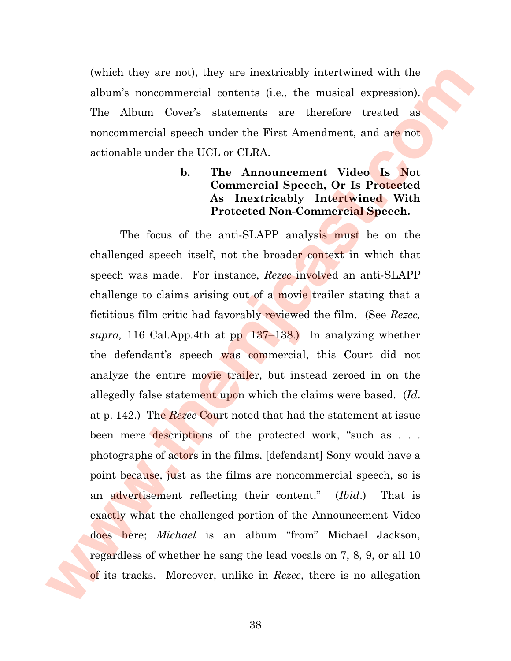(which they are not), they are inextricably intertwined with the album's noncommercial contents (i.e., the musical expression). The Album Cover's statements are therefore treated as noncommercial speech under the First Amendment, and are not actionable under the UCL or CLRA.

## **b. The Announcement Video Is Not Commercial Speech, Or Is Protected As Inextricably Intertwined With Protected Non-Commercial Speech.**

<span id="page-37-0"></span>The focus of the anti-SLAPP analysis must be on the challenged speech itself, not the broader context in which that speech was made. For instance, *Rezec* involved an anti-SLAPP challenge to claims arising out of a movie trailer stating that a fictitious film critic had favorably reviewed the film. (See *Rezec, supra,* 116 Cal.App.4th at pp. 137–138.) In analyzing whether the defendant's speech was commercial, this Court did not analyze the entire movie trailer, but instead zeroed in on the allegedly false statement upon which the claims were based. (*Id*. at p. 142.) The *Rezec* Court noted that had the statement at issue been mere descriptions of the protected work, "such as ... photographs of actors in the films, [defendant] Sony would have a point because, just as the films are noncommercial speech, so is an advertisement reflecting their content." (*Ibid*.) That is exactly what the challenged portion of the Announcement Video does here; *Michael* is an album "from" Michael Jackson, regardless of whether he sang the lead vocals on 7, 8, 9, or all 10 (which they are not), they are inextricably intertwined with the album's noncommercial contracts. the mained expression, The Album Cover's statements are therefore tracted as noncommercial speech under the First Amendment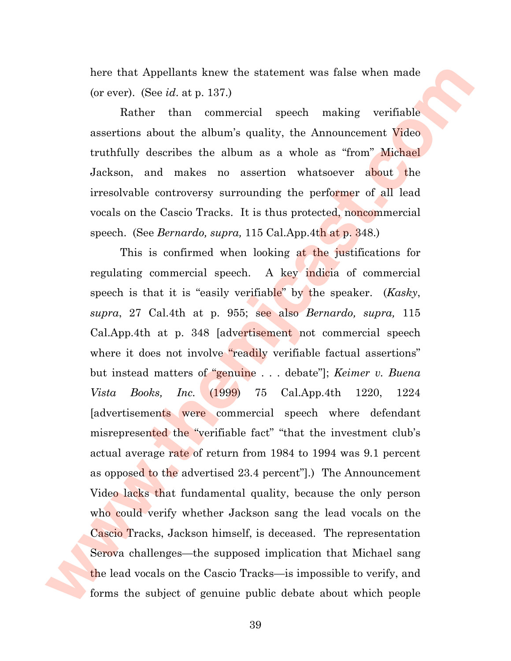here that Appellants knew the statement was false when made (or ever). (See *id*. at p. 137.)

Rather than commercial speech making verifiable assertions about the album's quality, the Announcement Video truthfully describes the album as a whole as "from" Michael Jackson, and makes no assertion whatsoever about the irresolvable controversy surrounding the performer of all lead vocals on the Cascio Tracks. It is thus protected, noncommercial speech. (See *Bernardo, supra,* 115 Cal.App.4th at p. 348.)

This is confirmed when looking at the justifications for regulating commercial speech. A key indicia of commercial speech is that it is "easily verifiable" by the speaker. (*Kasky*, *supra*, 27 Cal.4th at p. 955; see also *Bernardo, supra,* 115 Cal.App.4th at p. 348 [advertisement not commercial speech where it does not involve "readily verifiable factual assertions" but instead matters of "genuine . . . debate"]; *Keimer v. Buena Vista Books, Inc.* (1999) 75 Cal.App.4th 1220, 1224 [advertisements were commercial speech where defendant misrepresented the "verifiable fact" "that the investment club's actual average rate of return from 1984 to 1994 was 9.1 percent as opposed to the advertised 23.4 percent".) The Announcement Video lacks that fundamental quality, because the only person who could verify whether Jackson sang the lead vocals on the Cascio Tracks, Jackson himself, is deceased. The representation Serova challenges—the supposed implication that Michael sang the correct dead to the case of the case of the Cascio Tracks—is imposed vocals. See the case of the case of the case of the case of the case of the case of the case of the case of the case of the case of the subject of al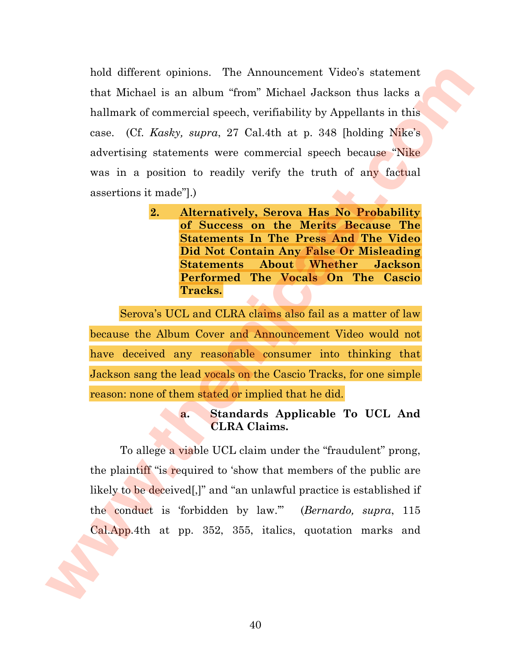<span id="page-39-0"></span>hold different opinions. The Announcement Video's statement that Michael is an album "from" Michael Jackson thus lacks a hallmark of commercial speech, verifiability by Appellants in this case. (Cf. *Kasky, supra*, 27 Cal.4th at p. 348 [holding Nike's advertising statements were commercial speech because "Nike" was in a position to readily verify the truth of any factual assertions it made"].) hold different opinions. The Announcement Video's statement<br>
that Michael is an about "form" Michael deckene thus leads a<br>
influenced spacet, verifiability by Appellants in this<br>
cases. (CF. Kasky, supra, 27 Cal.4th at p.

**2. Alternatively, Serova Has No Probability of Success on the Merits Because The Statements In The Press And The Video Did Not Contain Any False Or Misleading Statements About Whether Jackson Performed The Vocals On The Cascio Tracks.** 

Serova's UCL and CLRA claims also fail as a matter of law because the Album Cover and Announcement Video would not have deceived any reasonable consumer into thinking that Jackson sang the lead vocals on the Cascio Tracks, for one simple reason: none of them stated or implied that he did.

#### **a. Standards Applicable To UCL And CLRA Claims.**

To allege a viable UCL claim under the "fraudulent" prong, the plaintiff "is required to 'show that members of the public are likely to be deceived[,]" and "an unlawful practice is established if the conduct is 'forbidden by law.'" (*Bernardo, supra*, 115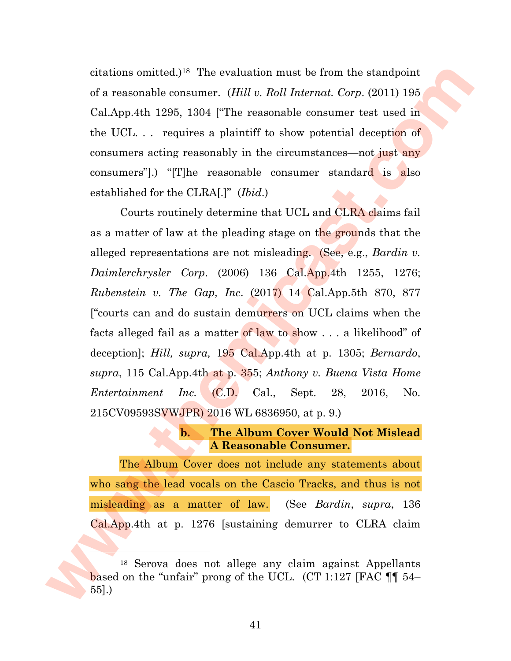citations omitted.)18 The evaluation must be from the standpoint of a reasonable consumer. (*Hill v. Roll Internat. Corp*. (2011) 195 Cal.App.4th 1295, 1304 ["The reasonable consumer test used in the UCL... requires a plaintiff to show potential deception of consumers acting reasonably in the circumstances—not just any consumers"].) "[T]he reasonable consumer standard is also established for the CLRA[.]" (*Ibid*.)

<span id="page-40-0"></span>Courts routinely determine that UCL and CLRA claims fail as a matter of law at the pleading stage on the grounds that the alleged representations are not misleading. (See, e.g., *Bardin v. Daimlerchrysler Corp*. (2006) 136 Cal.App.4th 1255, 1276; *Rubenstein v. The Gap, Inc*. (2017) 14 Cal.App.5th 870, 877 ["courts can and do sustain demurrers on UCL claims when the facts alleged fail as a matter of law to show  $\dots$  a likelihood" of deception]; *Hill, supra,* 195 Cal.App.4th at p. 1305; *Bernardo*, *supra*, 115 Cal.App.4th at p. 355; *Anthony v. Buena Vista Home Entertainment Inc.* (C.D. Cal., Sept. 28, 2016, No. 215CV09593SVWJPR) 2016 WL 6836950, at p. 9.) citations omitted,<sup>16</sup> The evaluation must be from the standpoint<br>of a reasonable consumer. (*Hill c*, *Foll I*, *Foll II*, *Internat. Cop.*, (2011) 196<br>the UCL. . . requires a plaintiff to show potential deception of<br>con

## **b. The Album Cover Would Not Mislead A Reasonable Consumer.**

The Album Cover does not include any statements about who sang the lead vocals on the Cascio Tracks, and thus is not misleading as a matter of law. (See *Bardin*, *supra*, 136 Cal.App.4th at p. 1276 [sustaining demurrer to CLRA claim

 <sup>18</sup> Serova does not allege any claim against Appellants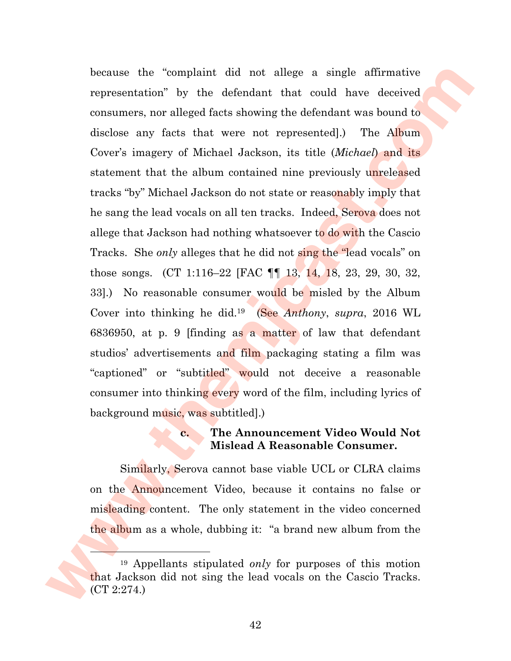<span id="page-41-0"></span>because the "complaint did not allege a single affirmative representation" by the defendant that could have deceived consumers, nor alleged facts showing the defendant was bound to disclose any facts that were not represented.) The Album Cover's imagery of Michael Jackson, its title (*Michael*) and its statement that the album contained nine previously unreleased tracks "by" Michael Jackson do not state or reasonably imply that he sang the lead vocals on all ten tracks. Indeed, Serova does not allege that Jackson had nothing whatsoever to do with the Cascio Tracks. She *only* alleges that he did not sing the "lead vocals" on those songs. (CT 1:116–22 [FAC ¶¶ 13, 14, 18, 23, 29, 30, 32, 33.) No reasonable consumer would be misled by the Album Cover into thinking he did.19 (See *Anthony*, *supra*, 2016 WL 6836950, at p. 9 [finding as a matter of law that defendant studios' advertisements and film packaging stating a film was "captioned" or "subtitled" would not deceive a reasonable consumer into thinking every word of the film, including lyrics of background music, was subtitled].) because the "complaint did not allege a single affirmative<br>
representation" by the defendant that could have deceived<br>
disclose any fucts that were not represented].) The Album<br>
Cover's imagery of Michael Jackson, its titl

## **c. The Announcement Video Would Not Mislead A Reasonable Consumer.**

Similarly, Serova cannot base viable UCL or CLRA claims on the Announcement Video, because it contains no false or misleading content. The only statement in the video concerned the album as a whole, dubbing it: "a brand new album from the

 <sup>19</sup> Appellants stipulated *only* for purposes of this motion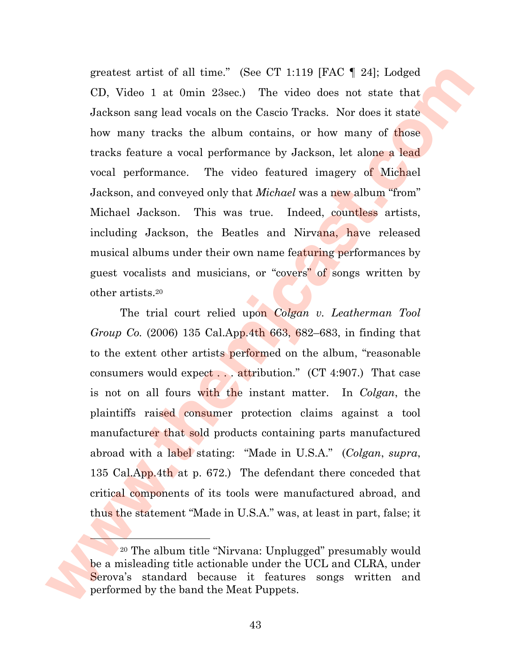greatest artist of all time." (See CT 1:119 [FAC ¶ 24]; Lodged CD, Video 1 at 0min 23sec.) The video does not state that Jackson sang lead vocals on the Cascio Tracks. Nor does it state how many tracks the album contains, or how many of those tracks feature a vocal performance by Jackson, let alone a lead vocal performance. The video featured imagery of Michael Jackson, and conveyed only that *Michael* was a new album "from" Michael Jackson. This was true. Indeed, countless artists, including Jackson, the Beatles and Nirvana, have released musical albums under their own name featuring performances by guest vocalists and musicians, or "covers" of songs written by other artists.20 greatest artist of all time." (See CT 1:119 [FAC **T** 24]: Lodged<br>CD, Vidco 1 at 0min 238eco). The video does not state<br>Jackson sang lead vocals on the Gasin Tracks. Nor does it state<br>how many tracks the silum centuring, or

The trial court relied upon *Colgan v. Leatherman Tool Group Co.* (2006) 135 Cal.App.4th 663, 682–683, in finding that to the extent other artists performed on the album, "reasonable consumers would expect . . . attribution." (CT 4:907.) That case is not on all fours with the instant matter. In *Colgan*, the plaintiffs raised consumer protection claims against a tool manufacturer that sold products containing parts manufactured abroad with a label stating: "Made in U.S.A." (*Colgan*, *supra*, 135 Cal. App. 4th at p. 672.) The defendant there conceded that critical components of its tools were manufactured abroad, and thus the statement "Made in U.S.A." was, at least in part, false; it

<sup>20</sup> The album title "Nirvana: Unplugged" presumably would be a misleading title actionable under the UCL and CLRA, under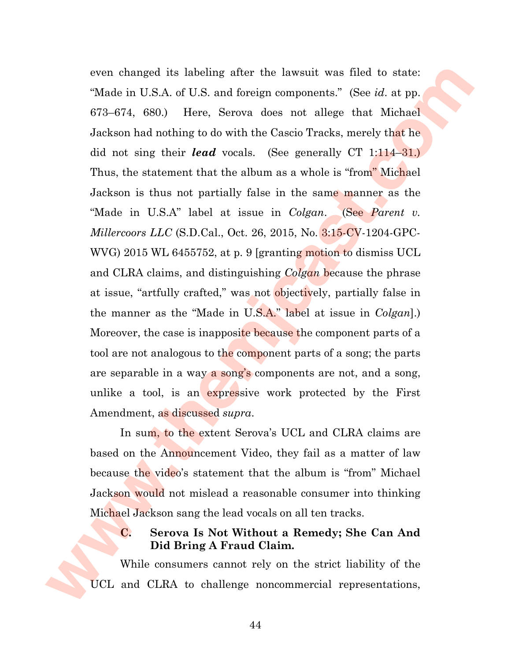<span id="page-43-0"></span>even changed its labeling after the lawsuit was filed to state: "Made in U.S.A. of U.S. and foreign components." (See *id*. at pp. 673–674, 680.) Here, Serova does not allege that Michael Jackson had nothing to do with the Cascio Tracks, merely that he did not sing their *lead* vocals. (See generally CT 1:114–31.) Thus, the statement that the album as a whole is "from" Michael Jackson is thus not partially false in the same manner as the "Made in U.S.A" label at issue in *Colgan*. (See *Parent v. Millercoors LLC* (S.D.Cal., Oct. 26, 2015, No. **3:15-CV**-1204-GPC-WVG) 2015 WL 6455752, at p. 9 [granting motion to dismiss UCL and CLRA claims, and distinguishing *Colgan* because the phrase at issue, "artfully crafted," was not objectively, partially false in the manner as the "Made in U.S.A." label at issue in *Colgan*].) Moreover, the case is inapposite because the component parts of a tool are not analogous to the component parts of a song; the parts are separable in a way a song's components are not, and a song, unlike a tool, is an expressive work protected by the First Amendment, as discussed *supra*. even changed its labeling after the lawsuit was filed to state:<br>
"Made in U.S.A. of U.S. and foreign components." (See *id.* at pp.<br>
673-674. 680.) Here, Serves does not allege that Nichael<br>
Jackson had nothing to du with

In sum, to the extent Serova's UCL and CLRA claims are based on the Announcement Video, they fail as a matter of law because the video's statement that the album is "from" Michael Jackson would not mislead a reasonable consumer into thinking Michael Jackson sang the lead vocals on all ten tracks.

## **C. Serova Is Not Without a Remedy; She Can And Did Bring A Fraud Claim.**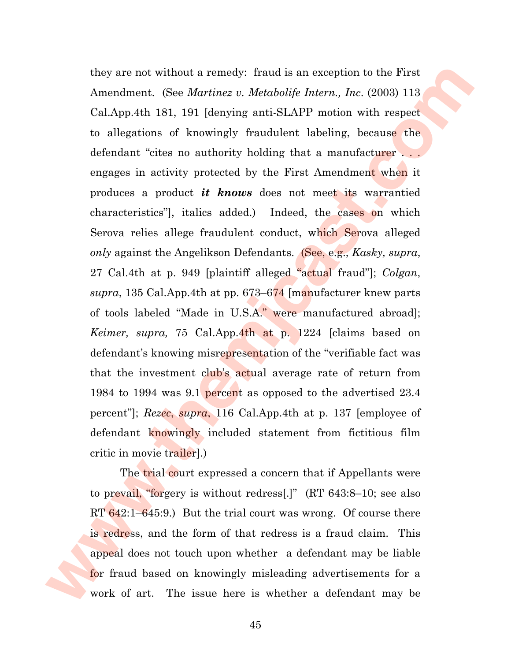they are not without a remedy: fraud is an exception to the First Amendment. (See *Martinez v. Metabolife Intern., Inc*. (2003) 113 Cal.App.4th 181, 191 [denying anti-SLAPP motion with respect to allegations of knowingly fraudulent labeling, because the defendant "cites no authority holding that a manufacturer... engages in activity protected by the First Amendment when it produces a product *it knows* does not meet its warrantied characteristics", italics added.) Indeed, the cases on which Serova relies allege fraudulent conduct, which Serova alleged *only* against the Angelikson Defendants. (See, e.g., *Kasky, supra*, 27 Cal.4th at p. 949 [plaintiff alleged "actual fraud"]; *Colgan*, *supra*, 135 Cal.App.4th at pp. 673–674 [manufacturer knew parts of tools labeled "Made in U.S.A." were manufactured abroad]; *Keimer, supra,* 75 Cal.App.4th at p. 1224 [claims based on defendant's knowing misrepresentation of the "verifiable fact was that the investment club's actual average rate of return from 1984 to 1994 was 9.1 percent as opposed to the advertised 23.4 percent"]; *Rezec*, *supra*, 116 Cal.App.4th at p. 137 [employee of defendant knowingly included statement from fictitious film critic in movie trailer.) fraud is an exception to the First Amondment. (See *Martings et Matobilite Intern. Inc. (2003)* 113<br>Cal.App.4th 181, 151 [denying anti-StLAPP motion with respect<br>to allegations of knowingly fraudulent labeling, because the

The trial court expressed a concern that if Appellants were to prevail, "forgery is without redress[.]" (RT 643:8–10; see also  $RT$  642:1–645:9.) But the trial court was wrong. Of course there is redress, and the form of that redress is a fraud claim. This appeal does not touch upon whether a defendant may be liable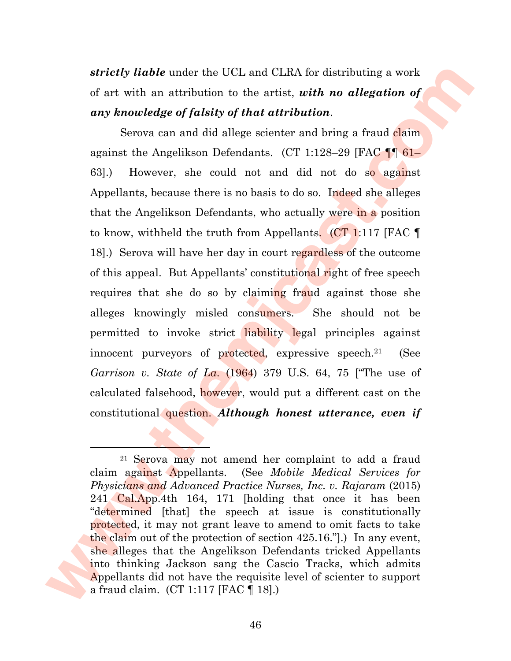*strictly liable* under the UCL and CLRA for distributing a work of art with an attribution to the artist, *with no allegation of any knowledge of falsity of that attribution*.

Serova can and did allege scienter and bring a fraud claim against the Angelikson Defendants. (CT 1:128–29 [FAC ¶¶ 61– 63.) However, she could not and did not do so against Appellants, because there is no basis to do so. Indeed she alleges that the Angelikson Defendants, who actually were in a position to know, withheld the truth from Appellants.  $\overline{(CT 1:117)}$  [FAC  $\overline{\P}$ ] 18. Serova will have her day in court regardless of the outcome of this appeal. But Appellants' constitutional right of free speech requires that she do so by claiming fraud against those she alleges knowingly misled consumers. She should not be permitted to invoke strict liability legal principles against innocent purveyors of protected, expressive speech.<sup>21</sup> (See *Garrison v. State of La*. (1964) 379 U.S. 64, 75 ["The use of calculated falsehood, however, would put a different cast on the constitutional question. *Although honest utterance, even if*  strictly liable under the UCL and CIRA for distributing a work<br>of art with an attribution to the artist, with no allegation of<br>any knowledge of falsity of that attribution.<br>Serves can and did allege scienter and bring a f

 <sup>21</sup> Serova may not amend her complaint to add a fraud claim against Appellants. (See *Mobile Medical Services for Physicians and Advanced Practice Nurses, Inc. v. Rajaram* (2015) 241 Cal.App.4th 164, 171 [holding that once it has been "determined [that] the speech at issue is constitutionally protected, it may not grant leave to amend to omit facts to take the claim out of the protection of section 425.16."].) In any event, she alleges that the Angelikson Defendants tricked Appellants into thinking Jackson sang the Cascio Tracks, which admits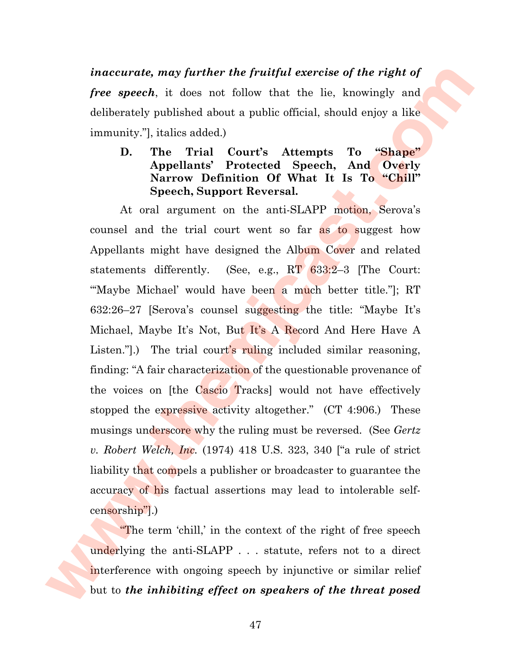# *inaccurate, may further the fruitful exercise of the right of free speech*, it does not follow that the lie, knowingly and deliberately published about a public official, should enjoy a like immunity."], italics added.)

**D. The Trial Court's Attempts To "Shape" Appellants' Protected Speech, And Overly Narrow Definition Of What It Is To "Chill" Speech, Support Reversal.** 

<span id="page-46-0"></span>At oral argument on the anti-SLAPP motion, Serova's counsel and the trial court went so far as to suggest how Appellants might have designed the Album Cover and related statements differently. (See, e.g.,  $RT/633:2-3$  The Court: "Maybe Michael' would have been a much better title."]; RT 632:26–27 [Serova's counsel suggesting the title: "Maybe It's Michael, Maybe It's Not, But It's A Record And Here Have A Listen.".) The trial court's ruling included similar reasoning, finding: "A fair characterization of the questionable provenance of the voices on [the Cascio Tracks] would not have effectively stopped the expressive activity altogether." (CT 4:906.) These musings underscore why the ruling must be reversed. (See *Gertz v. Robert Welch, Inc.* (1974) 418 U.S. 323, 340 ["a rule of strict liability that compels a publisher or broadcaster to guarantee the accuracy of his factual assertions may lead to intolerable selfcensorship"].) intertare may further the fruitful exercise of the right of<br>
free speech, it does not follow that the lie. knowingly and<br>
infimumity"], itslies added.)<br>
D. The Trial Court's Attempts To "Shape"<br>
Appendix Protected Speech,

"The term 'chill,' in the context of the right of free speech underlying the anti-SLAPP . . . statute, refers not to a direct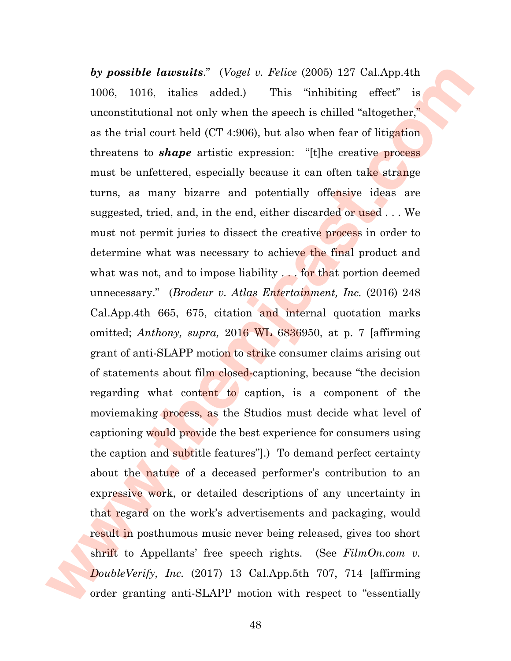*by possible lawsuits*." (*Vogel v. Felice* (2005) 127 Cal.App.4th 1006, 1016, italics added.) This "inhibiting effect" is unconstitutional not only when the speech is chilled "altogether," as the trial court held (CT 4:906), but also when fear of litigation threatens to *shape* artistic expression: "[t]he creative process must be unfettered, especially because it can often take strange turns, as many bizarre and potentially offensive ideas are suggested, tried, and, in the end, either discarded or used ... We must not permit juries to dissect the creative process in order to determine what was necessary to achieve the final product and what was not, and to impose liability . . . for that portion deemed unnecessary." (*Brodeur v. Atlas Entertainment, Inc.* (2016) 248 Cal.App.4th 665, 675, citation and internal quotation marks omitted; *Anthony, supra,* 2016 WL 6836950, at p. 7 [affirming grant of anti-SLAPP motion to strike consumer claims arising out of statements about film closed-captioning, because "the decision" regarding what content to caption, is a component of the moviemaking **process**, as the Studios must decide what level of captioning would provide the best experience for consumers using the caption and subtitle features"].) To demand perfect certainty about the **nature** of a deceased performer's contribution to an expressive work, or detailed descriptions of any uncertainty in that regard on the work's advertisements and packaging, would result in posthumous music never being released, gives too short shrift to Appellants' free speech rights. (See *FilmOn.com v. by possible lateratits*." (Vogel v. Felice (2005) 127 Cal.App-4th 1006, 1016, italies adeded). This "inhibiting effice" is unemostitational not only when the speech is chilled "altopacher," as the trial court held (CT 4:9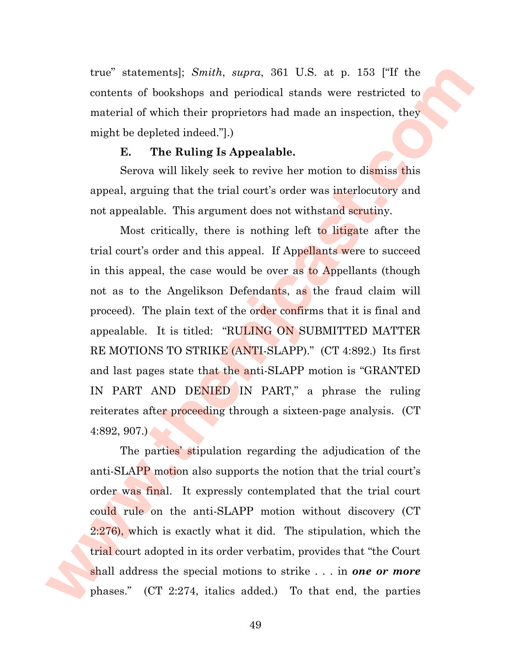true" statements]; *Smith*, *supra*, 361 U.S. at p. 153 ["If the contents of bookshops and periodical stands were restricted to material of which their proprietors had made an inspection, they might be depleted indeed."].)

#### **E. The Ruling Is Appealable.**

Serova will likely seek to revive her motion to dismiss this appeal, arguing that the trial court's order was interlocutory and not appealable. This argument does not withstand scrutiny.

<span id="page-48-0"></span>Most critically, there is nothing left to litigate after the trial court's order and this appeal. If Appellants were to succeed in this appeal, the case would be over as to Appellants (though not as to the Angelikson Defendants, as the fraud claim will proceed). The plain text of the order confirms that it is final and appealable. It is titled: "RULING ON SUBMITTED MATTER RE MOTIONS TO STRIKE (ANTI-SLAPP)." (CT 4:892.) Its first and last pages state that the anti-SLAPP motion is "GRANTED IN PART AND DENIED IN PART," a phrase the ruling reiterates after proceeding through a sixteen-page analysis. (CT 4:892, 907.) rrue" statements]: Smith. supro. 361 U.S. at p. 153 FIf the contrast of bookshops and periodical stands were restricted to material motions to themistical more interesting, they might be depleted midesel  $\sim$  The Ruling I

The parties' stipulation regarding the adjudication of the anti-SLAPP motion also supports the notion that the trial court's order was final. It expressly contemplated that the trial court could rule on the anti-SLAPP motion without discovery (CT 2:276), which is exactly what it did. The stipulation, which the trial court adopted in its order verbatim, provides that "the Court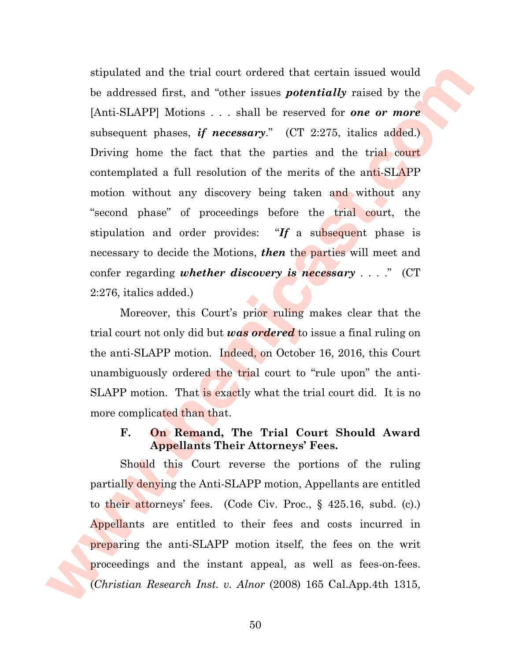<span id="page-49-0"></span>stipulated and the trial court ordered that certain issued would be addressed first, and "other issues *potentially* raised by the [Anti-SLAPP] Motions . . . shall be reserved for *one or more* subsequent phases, *if necessary*." (CT 2:275, italics added.) Driving home the fact that the parties and the trial court contemplated a full resolution of the merits of the anti-SLAPP motion without any discovery being taken and without any "second phase" of proceedings before the trial court, the stipulation and order provides: "If a subsequent phase is necessary to decide the Motions, *then* the parties will meet and confer regarding *whether discovery is necessary* . . . ." (CT 2:276, italics added.) produced and the trial court ordered that certain issued would<br>be aldersed first, and "other issues potentially raised by the<br>particular processory." (CT 2:275, itsiics added.)<br>Driving home the fact that the partics and th

Moreover, this Court's prior ruling makes clear that the trial court not only did but *was ordered* to issue a final ruling on the anti-SLAPP motion. Indeed, on October 16, 2016, this Court unambiguously ordered the trial court to "rule upon" the anti-SLAPP motion. That is exactly what the trial court did. It is no more complicated than that.

#### **F. On Remand, The Trial Court Should Award Appellants Their Attorneys' Fees.**

Should this Court reverse the portions of the ruling partially denying the Anti-SLAPP motion, Appellants are entitled to their attorneys' fees. (Code Civ. Proc., § 425.16, subd. (c).) Appellants are entitled to their fees and costs incurred in preparing the anti-SLAPP motion itself, the fees on the writ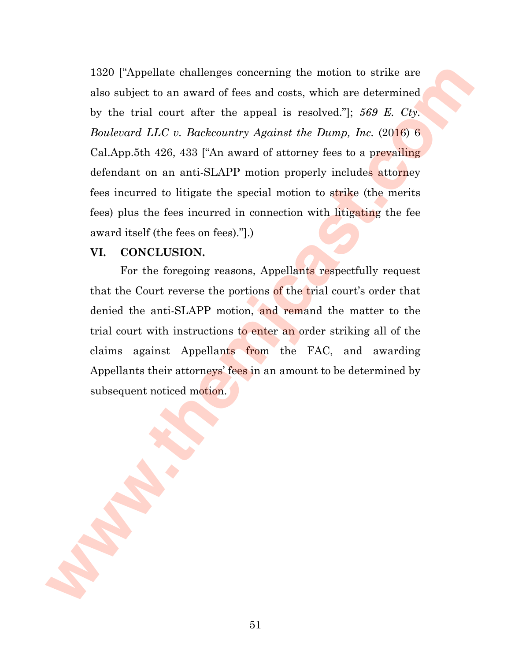<span id="page-50-0"></span>1320 ["Appellate challenges concerning the motion to strike are also subject to an award of fees and costs, which are determined by the trial court after the appeal is resolved."]; *569 E. Cty. Boulevard LLC v. Backcountry Against the Dump, Inc.* (2016) 6 Cal.App.5th 426, 433 ["An award of attorney fees to a prevailing" defendant on an anti-SLAPP motion properly includes attorney fees incurred to litigate the special motion to strike (the merits fees) plus the fees incurred in connection with litigating the fee award itself (the fees on fees)."].) 1320 ["Appellate challenges concerning the motion to strike are<br>also subject to an award of foces and costs, which are determined<br>by the trial court after the appeal is resolved."[; 569 E. Cv.<br>Foolerard LLC c. Rockcomity

#### **VI. CONCLUSION.**

For the foregoing reasons, Appellants respectfully request that the Court reverse the portions of the trial court's order that denied the anti-SLAPP motion, and remand the matter to the trial court with instructions to enter an order striking all of the claims against Appellants from the FAC, and awarding Appellants their attorneys' fees in an amount to be determined by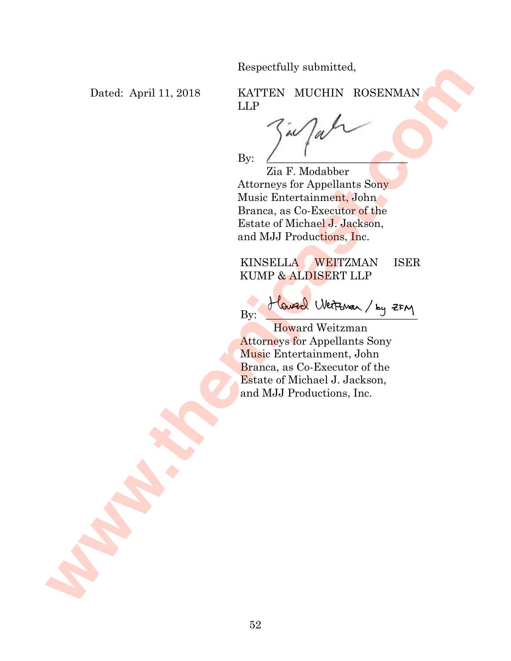Respectfully submitted,

Dated: April 11, 2018 KATTEN MUCHIN ROSENMAN LLP

By:  $\angle$ 

Zia F. Modabber Attorneys for Appellants Sony Music Entertainment, John Branca, as Co-Executor of the Estate of Michael J. Jackson, and MJJ Productions, Inc.

KINSELLA WEITZMAN ISER KUMP & ALDISERT LLP

By: Howard Weiteran / by ZFM

 Howard Weitzman Attorneys for Appellants Sony Music Entertainment, John Branca, as Co-Executor of the Estate of Michael J. Jackson, Respectively submitted.<br>
The CATTEN MUCHIN ROSENMAN<br>
Lance Lance Lance Lance Contract in the State Contract of the Branca, as Co-Execution of the<br>
Extract of Michael Contract in Jones Contract of the Extract of Michael Con